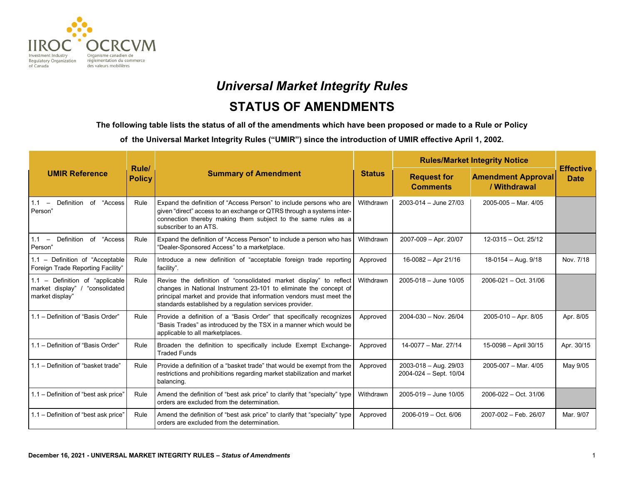

# *Universal Market Integrity Rules* **STATUS OF AMENDMENTS**

**The following table lists the status of all of the amendments which have been proposed or made to a Rule or Policy** 

**of the Universal Market Integrity Rules ("UMIR") since the introduction of UMIR effective April 1, 2002.**

|                                                                                         |                        | <b>Summary of Amendment</b>                                                                                                                                                                                                                                               | <b>Status</b> | <b>Rules/Market Integrity Notice</b>                        |                                           |                                 |
|-----------------------------------------------------------------------------------------|------------------------|---------------------------------------------------------------------------------------------------------------------------------------------------------------------------------------------------------------------------------------------------------------------------|---------------|-------------------------------------------------------------|-------------------------------------------|---------------------------------|
| <b>UMIR Reference</b>                                                                   | Rule/<br><b>Policy</b> |                                                                                                                                                                                                                                                                           |               | <b>Request for</b><br><b>Comments</b>                       | <b>Amendment Approval</b><br>/ Withdrawal | <b>Effective</b><br><b>Date</b> |
| Definition of "Access<br>$1.1 -$<br>Person"                                             | Rule                   | Expand the definition of "Access Person" to include persons who are<br>given "direct" access to an exchange or QTRS through a systems inter-<br>connection thereby making them subject to the same rules as a<br>subscriber to an ATS.                                    | Withdrawn     | $2003 - 014 -$ June 27/03                                   | $2005 - 005 - \text{Mar. } 4/05$          |                                 |
| 1.1 - Definition of "Access"<br>Person"                                                 | Rule                   | Expand the definition of "Access Person" to include a person who has<br>"Dealer-Sponsored Access" to a marketplace.                                                                                                                                                       | Withdrawn     | 2007-009 - Apr. 20/07                                       | 12-0315 - Oct. 25/12                      |                                 |
| 1.1 - Definition of "Acceptable<br>Foreign Trade Reporting Facility"                    | Rule                   | Introduce a new definition of "acceptable foreign trade reporting<br>facility".                                                                                                                                                                                           | Approved      | 16-0082 - Apr 21/16                                         | 18-0154 - Aug. 9/18                       | Nov. 7/18                       |
| 1.1 - Definition of "applicable"<br>"consolidated<br>market display"<br>market display" | Rule                   | Revise the definition of "consolidated market display" to reflect<br>changes in National Instrument 23-101 to eliminate the concept of<br>principal market and provide that information vendors must meet the<br>standards established by a regulation services provider. | Withdrawn     | $2005 - 018 -$ June 10/05                                   | 2006-021 - Oct. 31/06                     |                                 |
| 1.1 - Definition of "Basis Order"                                                       | Rule                   | Provide a definition of a "Basis Order" that specifically recognizes<br>"Basis Trades" as introduced by the TSX in a manner which would be<br>applicable to all marketplaces.                                                                                             | Approved      | $2004 - 030 - Nov. 26/04$                                   | $2005 - 010 - Apr. 8/05$                  | Apr. 8/05                       |
| 1.1 - Definition of "Basis Order"                                                       | Rule                   | Broaden the definition to specifically include Exempt Exchange-<br><b>Traded Funds</b>                                                                                                                                                                                    | Approved      | 14-0077 - Mar. 27/14                                        | 15-0098 - April 30/15                     | Apr. 30/15                      |
| 1.1 - Definition of "basket trade"                                                      | Rule                   | Provide a definition of a "basket trade" that would be exempt from the<br>restrictions and prohibitions regarding market stabilization and market<br>balancing.                                                                                                           | Approved      | $2003 - 018 - \text{Aug. } 29/03$<br>2004-024 - Sept. 10/04 | 2005-007 - Mar. 4/05                      | May 9/05                        |
| 1.1 - Definition of "best ask price"                                                    | Rule                   | Amend the definition of "best ask price" to clarify that "specialty" type<br>orders are excluded from the determination.                                                                                                                                                  | Withdrawn     | 2005-019 - June 10/05                                       | 2006-022 - Oct. 31/06                     |                                 |
| 1.1 - Definition of "best ask price"                                                    | Rule                   | Amend the definition of "best ask price" to clarify that "specialty" type<br>orders are excluded from the determination.                                                                                                                                                  | Approved      | $2006 - 019 - Oct. 6/06$                                    | 2007-002 - Feb. 26/07                     | Mar. 9/07                       |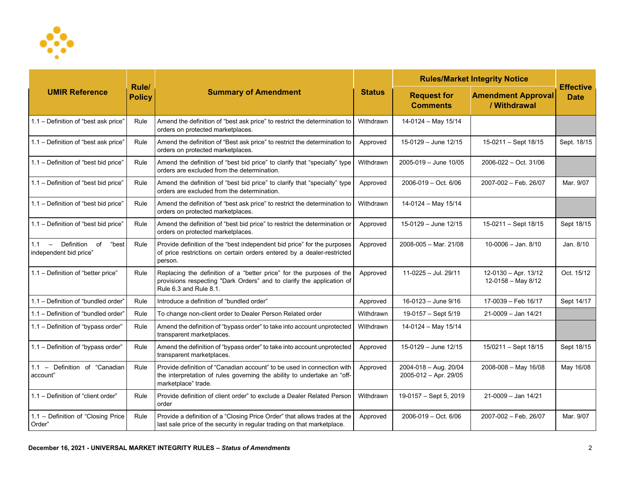

| <b>UMIR Reference</b>                                          |                        | <b>Summary of Amendment</b>                                                                                                                                              | <b>Status</b> | <b>Rules/Market Integrity Notice</b>           |                                            |                                 |
|----------------------------------------------------------------|------------------------|--------------------------------------------------------------------------------------------------------------------------------------------------------------------------|---------------|------------------------------------------------|--------------------------------------------|---------------------------------|
|                                                                | Rule/<br><b>Policy</b> |                                                                                                                                                                          |               | <b>Request for</b><br><b>Comments</b>          | <b>Amendment Approval</b><br>/ Withdrawal  | <b>Effective</b><br><b>Date</b> |
| 1.1 - Definition of "best ask price"                           | Rule                   | Amend the definition of "best ask price" to restrict the determination to<br>orders on protected marketplaces.                                                           | Withdrawn     | 14-0124 - May 15/14                            |                                            |                                 |
| 1.1 - Definition of "best ask price"                           | Rule                   | Amend the definition of "Best ask price" to restrict the determination to<br>orders on protected marketplaces.                                                           | Approved      | $15-0129 - June 12/15$                         | 15-0211 - Sept 18/15                       | Sept. 18/15                     |
| 1.1 - Definition of "best bid price"                           | Rule                   | Amend the definition of "best bid price" to clarify that "specialty" type<br>orders are excluded from the determination.                                                 | Withdrawn     | 2005-019 - June 10/05                          | 2006-022 - Oct. 31/06                      |                                 |
| 1.1 - Definition of "best bid price"                           | Rule                   | Amend the definition of "best bid price" to clarify that "specialty" type<br>orders are excluded from the determination.                                                 | Approved      | 2006-019 - Oct. 6/06                           | 2007-002 - Feb. 26/07                      | Mar. 9/07                       |
| 1.1 - Definition of "best bid price"                           | Rule                   | Amend the definition of "best ask price" to restrict the determination to<br>orders on protected marketplaces.                                                           | Withdrawn     | 14-0124 - May 15/14                            |                                            |                                 |
| 1.1 - Definition of "best bid price"                           | Rule                   | Amend the definition of "best bid price" to restrict the determination or<br>orders on protected marketplaces.                                                           | Approved      | 15-0129 - June 12/15                           | 15-0211 - Sept 18/15                       | Sept 18/15                      |
| Definition<br>of<br>"best<br>$1.1 -$<br>independent bid price" | Rule                   | Provide definition of the "best independent bid price" for the purposes<br>of price restrictions on certain orders entered by a dealer-restricted<br>person.             | Approved      | 2008-005 - Mar. 21/08                          | $10-0006 -$ Jan. $8/10$                    | Jan. 8/10                       |
| 1.1 - Definition of "better price"                             | Rule                   | Replacing the definition of a "better price" for the purposes of the<br>provisions respecting "Dark Orders" and to clarify the application of<br>Rule 6.3 and Rule 8.1.  | Approved      | 11-0225 - Jul. 29/11                           | 12-0130 - Apr. 13/12<br>12-0158 - May 8/12 | Oct. 15/12                      |
| 1.1 - Definition of "bundled order"                            | Rule                   | Introduce a definition of "bundled order"                                                                                                                                | Approved      | 16-0123 - June 9/16                            | 17-0039 - Feb 16/17                        | Sept 14/17                      |
| 1.1 - Definition of "bundled order"                            | Rule                   | To change non-client order to Dealer Person Related order                                                                                                                | Withdrawn     | 19-0157 - Sept 5/19                            | $21 - 0009 -$ Jan $14/21$                  |                                 |
| 1.1 - Definition of "bypass order"                             | Rule                   | Amend the definition of "bypass order" to take into account unprotected<br>transparent marketplaces.                                                                     | Withdrawn     | 14-0124 - May 15/14                            |                                            |                                 |
| 1.1 - Definition of "bypass order"                             | Rule                   | Amend the definition of "bypass order" to take into account unprotected<br>transparent marketplaces.                                                                     | Approved      | 15-0129 - June 12/15                           | 15/0211 - Sept 18/15                       | Sept 18/15                      |
| 1.1 - Definition of "Canadian"<br>account"                     | Rule                   | Provide definition of "Canadian account" to be used in connection with<br>the interpretation of rules governing the ability to undertake an "off-<br>marketplace" trade. | Approved      | 2004-018 - Aug. 20/04<br>2005-012 - Apr. 29/05 | 2008-008 - May 16/08                       | May 16/08                       |
| 1.1 - Definition of "client order"                             | Rule                   | Provide definition of client order" to exclude a Dealer Related Person<br>order                                                                                          | Withdrawn     | 19-0157 - Sept 5, 2019                         | $21-0009 - Jan 14/21$                      |                                 |
| 1.1 - Definition of "Closing Price<br>Order"                   | Rule                   | Provide a definition of a "Closing Price Order" that allows trades at the<br>last sale price of the security in regular trading on that marketplace.                     | Approved      | $2006 - 019 - Oct. 6/06$                       | 2007-002 - Feb. 26/07                      | Mar. 9/07                       |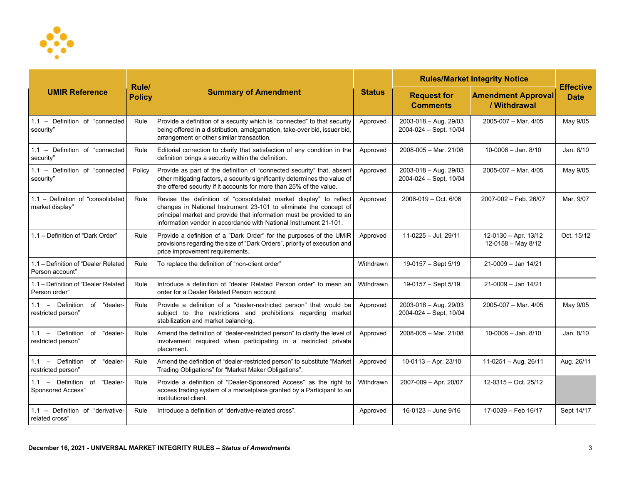

| <b>UMIR Reference</b>                                  |                               | <b>Summary of Amendment</b>                                                                                                                                                                                                                                                         | <b>Status</b> | <b>Rules/Market Integrity Notice</b>                |                                              |                                 |
|--------------------------------------------------------|-------------------------------|-------------------------------------------------------------------------------------------------------------------------------------------------------------------------------------------------------------------------------------------------------------------------------------|---------------|-----------------------------------------------------|----------------------------------------------|---------------------------------|
|                                                        | <b>Rule/</b><br><b>Policy</b> |                                                                                                                                                                                                                                                                                     |               | <b>Request for</b><br><b>Comments</b>               | <b>Amendment Approval</b><br>/ Withdrawal    | <b>Effective</b><br><b>Date</b> |
| 1.1 - Definition of "connected"<br>security"           | Rule                          | Provide a definition of a security which is "connected" to that security<br>being offered in a distribution, amalgamation, take-over bid, issuer bid,<br>arrangement or other similar transaction.                                                                                  | Approved      | 2003-018 - Aug. 29/03<br>2004-024 - Sept. 10/04     | 2005-007 - Mar. 4/05                         | May 9/05                        |
| 1.1 - Definition of "connected<br>security"            | Rule                          | Editorial correction to clarify that satisfaction of any condition in the<br>definition brings a security within the definition.                                                                                                                                                    | Approved      | $2008 - 005 - \text{Mar. } 21/08$                   | $10 - 0006 -$ Jan. $8/10$                    | Jan. 8/10                       |
| 1.1 - Definition of "connected<br>security"            | Policy                        | Provide as part of the definition of "connected security" that, absent<br>other mitigating factors, a security significantly determines the value of<br>the offered security if it accounts for more than 25% of the value.                                                         | Approved      | $2003 - 018 - Aug. 29/03$<br>2004-024 - Sept. 10/04 | 2005-007 - Mar. 4/05                         | May 9/05                        |
| 1.1 - Definition of "consolidated<br>market display"   | Rule                          | Revise the definition of "consolidated market display" to reflect<br>changes in National Instrument 23-101 to eliminate the concept of<br>principal market and provide that information must be provided to an<br>information vendor in accordance with National Instrument 21-101. | Approved      | 2006-019 - Oct. 6/06                                | 2007-002 - Feb. 26/07                        | Mar. 9/07                       |
| 1.1 - Definition of "Dark Order"                       | Rule                          | Provide a definition of a "Dark Order" for the purposes of the UMIR<br>provisions regarding the size of "Dark Orders", priority of execution and<br>price improvement requirements.                                                                                                 | Approved      | 11-0225 - Jul. 29/11                                | 12-0130 - Apr. 13/12<br>$12-0158 - May 8/12$ | Oct. 15/12                      |
| 1.1 - Definition of "Dealer Related<br>Person account" | Rule                          | To replace the definition of "non-client order"                                                                                                                                                                                                                                     | Withdrawn     | 19-0157 - Sept 5/19                                 | $21 - 0009 -$ Jan $14/21$                    |                                 |
| 1.1 - Definition of "Dealer Related<br>Person order"   | Rule                          | Introduce a definition of "dealer Related Person order" to mean an<br>order for a Dealer Related Person account                                                                                                                                                                     | Withdrawn     | 19-0157 - Sept 5/19                                 | 21-0009 - Jan 14/21                          |                                 |
| 1.1 - Definition of "dealer-<br>restricted person"     | Rule                          | Provide a definition of a "dealer-restricted person" that would be<br>subject to the restrictions and prohibitions regarding market<br>stabilization and market balancing.                                                                                                          | Approved      | 2003-018 - Aug. 29/03<br>2004-024 - Sept. 10/04     | 2005-007 - Mar. 4/05                         | May 9/05                        |
| 1.1 - Definition of "dealer-<br>restricted person"     | Rule                          | Amend the definition of "dealer-restricted person" to clarify the level of<br>involvement required when participating in a restricted private<br>placement.                                                                                                                         | Approved      | 2008-005 - Mar. 21/08                               | $10 - 0006 -$ Jan. 8/10                      | Jan. 8/10                       |
| 1.1 - Definition of<br>"dealer-<br>restricted person"  | Rule                          | Amend the definition of "dealer-restricted person" to substitute "Market<br>Trading Obligations" for "Market Maker Obligations".                                                                                                                                                    | Approved      | $10-0113 - Apr. 23/10$                              | 11-0251 - Aug. 26/11                         | Aug. 26/11                      |
| 1.1 - Definition of "Dealer-<br>Sponsored Access"      | Rule                          | Provide a definition of "Dealer-Sponsored Access" as the right to<br>access trading system of a marketplace granted by a Participant to an<br>institutional client.                                                                                                                 | Withdrawn     | 2007-009 - Apr. 20/07                               | 12-0315 - Oct. 25/12                         |                                 |
| 1.1 - Definition of "derivative-<br>related cross"     | Rule                          | Introduce a definition of "derivative-related cross".                                                                                                                                                                                                                               | Approved      | 16-0123 - June 9/16                                 | 17-0039 - Feb 16/17                          | Sept 14/17                      |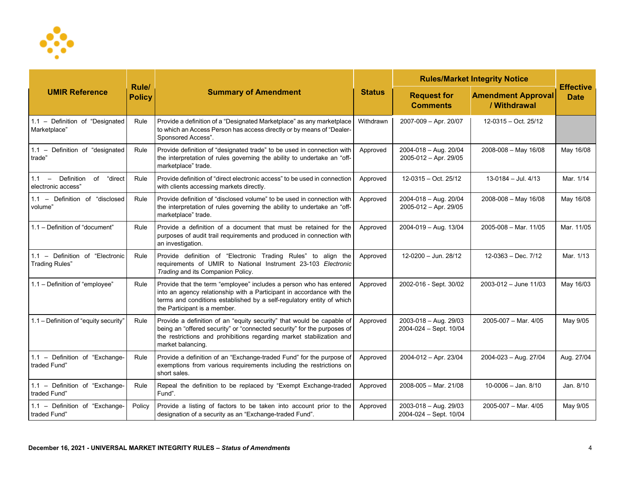

| <b>UMIR Reference</b>                                        |                               | <b>Summary of Amendment</b>                                                                                                                                                                                                                          | <b>Status</b> | <b>Rules/Market Integrity Notice</b>            |                                           |                                 |
|--------------------------------------------------------------|-------------------------------|------------------------------------------------------------------------------------------------------------------------------------------------------------------------------------------------------------------------------------------------------|---------------|-------------------------------------------------|-------------------------------------------|---------------------------------|
|                                                              | <b>Rule/</b><br><b>Policy</b> |                                                                                                                                                                                                                                                      |               | <b>Request for</b><br><b>Comments</b>           | <b>Amendment Approval</b><br>/ Withdrawal | <b>Effective</b><br><b>Date</b> |
| 1.1 - Definition of "Designated<br>Marketplace"              | Rule                          | Provide a definition of a "Designated Marketplace" as any marketplace<br>to which an Access Person has access directly or by means of "Dealer-<br>Sponsored Access".                                                                                 | Withdrawn     | 2007-009 - Apr. 20/07                           | 12-0315 - Oct. 25/12                      |                                 |
| 1.1 - Definition of "designated<br>trade <sup>"</sup>        | Rule                          | Provide definition of "designated trade" to be used in connection with<br>the interpretation of rules governing the ability to undertake an "off-<br>marketplace" trade.                                                                             | Approved      | 2004-018 - Aug. 20/04<br>2005-012 - Apr. 29/05  | $2008 - 008 -$ May 16/08                  | May 16/08                       |
| Definition<br>"direct<br>of<br>$1.1 -$<br>electronic access" | Rule                          | Provide definition of "direct electronic access" to be used in connection<br>with clients accessing markets directly.                                                                                                                                | Approved      | 12-0315 - Oct. 25/12                            | $13-0184 -$ Jul. 4/13                     | Mar. 1/14                       |
| 1.1 - Definition of "disclosed<br>volume"                    | Rule                          | Provide definition of "disclosed volume" to be used in connection with<br>the interpretation of rules governing the ability to undertake an "off-<br>marketplace" trade.                                                                             | Approved      | 2004-018 - Aug. 20/04<br>2005-012 - Apr. 29/05  | 2008-008 - May 16/08                      | May 16/08                       |
| 1.1 - Definition of "document"                               | Rule                          | Provide a definition of a document that must be retained for the<br>purposes of audit trail requirements and produced in connection with<br>an investigation.                                                                                        | Approved      | 2004-019 - Aug. 13/04                           | $2005 - 008 - \text{Mar. } 11/05$         | Mar. 11/05                      |
| 1.1 - Definition of "Electronic<br><b>Trading Rules"</b>     | Rule                          | Provide definition of "Electronic Trading Rules" to align the<br>requirements of UMIR to National Instrument 23-103 Electronic<br>Trading and its Companion Policy.                                                                                  | Approved      | 12-0200 - Jun. 28/12                            | $12-0363 - Dec. 7/12$                     | Mar. 1/13                       |
| 1.1 - Definition of "employee"                               | Rule                          | Provide that the term "employee" includes a person who has entered<br>into an agency relationship with a Participant in accordance with the<br>terms and conditions established by a self-regulatory entity of which<br>the Participant is a member. | Approved      | 2002-016 - Sept. 30/02                          | $2003 - 012 -$ June 11/03                 | May 16/03                       |
| 1.1 - Definition of "equity security"                        | Rule                          | Provide a definition of an "equity security" that would be capable of<br>being an "offered security" or "connected security" for the purposes of<br>the restrictions and prohibitions regarding market stabilization and<br>market balancing.        | Approved      | 2003-018 - Aug. 29/03<br>2004-024 - Sept. 10/04 | 2005-007 - Mar. 4/05                      | May 9/05                        |
| 1.1 - Definition of "Exchange-<br>traded Fund"               | Rule                          | Provide a definition of an "Exchange-traded Fund" for the purpose of<br>exemptions from various requirements including the restrictions on<br>short sales.                                                                                           | Approved      | 2004-012 - Apr. 23/04                           | 2004-023 - Aug. 27/04                     | Aug. 27/04                      |
| 1.1 - Definition of "Exchange-<br>traded Fund"               | Rule                          | Repeal the definition to be replaced by "Exempt Exchange-traded<br>Fund".                                                                                                                                                                            | Approved      | 2008-005 - Mar. 21/08                           | $10-0006 -$ Jan. 8/10                     | Jan. 8/10                       |
| 1.1 - Definition of "Exchange-<br>traded Fund"               | Policy                        | Provide a listing of factors to be taken into account prior to the<br>designation of a security as an "Exchange-traded Fund".                                                                                                                        | Approved      | 2003-018 - Aug. 29/03<br>2004-024 - Sept. 10/04 | 2005-007 - Mar. 4/05                      | May 9/05                        |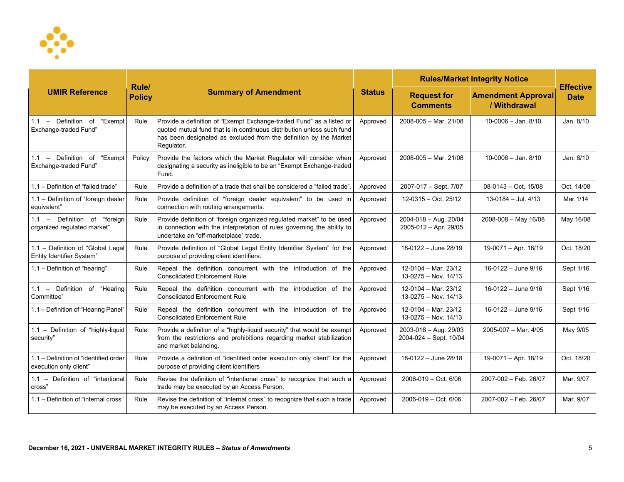

| <b>UMIR Reference</b>                                           |                        | <b>Summary of Amendment</b>                                                                                                                                                                                                       | <b>Status</b> | <b>Rules/Market Integrity Notice</b>                   |                                           |                                 |
|-----------------------------------------------------------------|------------------------|-----------------------------------------------------------------------------------------------------------------------------------------------------------------------------------------------------------------------------------|---------------|--------------------------------------------------------|-------------------------------------------|---------------------------------|
|                                                                 | Rule/<br><b>Policy</b> |                                                                                                                                                                                                                                   |               | <b>Request for</b><br><b>Comments</b>                  | <b>Amendment Approval</b><br>/ Withdrawal | <b>Effective</b><br><b>Date</b> |
| 1.1 - Definition of "Exempt<br><b>Exchange-traded Fund</b> "    | Rule                   | Provide a definition of "Exempt Exchange-traded Fund" as a listed or<br>quoted mutual fund that is in continuous distribution unless such fund<br>has been designated as excluded from the definition by the Market<br>Regulator. | Approved      | 2008-005 - Mar. 21/08                                  | $10-0006 -$ Jan. 8/10                     | Jan. 8/10                       |
| 1.1 - Definition of "Exempt"<br><b>Exchange-traded Fund</b> "   | Policy                 | Provide the factors which the Market Regulator will consider when<br>designating a security as ineligible to be an "Exempt Exchange-traded<br>Fund.                                                                               | Approved      | 2008-005 - Mar. 21/08                                  | $10 - 0006 -$ Jan. $8/10$                 | Jan. 8/10                       |
| 1.1 - Definition of "failed trade"                              | Rule                   | Provide a definition of a trade that shall be considered a "failed trade".                                                                                                                                                        | Approved      | 2007-017 - Sept. 7/07                                  | $08-0143 - Oct. 15/08$                    | Oct. 14/08                      |
| 1.1 - Definition of "foreign dealer<br>equivalent"              | Rule                   | Provide definition of "foreign dealer equivalent" to be used in<br>connection with routing arrangements.                                                                                                                          | Approved      | 12-0315 - Oct. 25/12                                   | $13-0184 -$ Jul. 4/13                     | Mar. 1/14                       |
| 1.1 - Definition of "foreign<br>organized regulated market"     | Rule                   | Provide definition of "foreign organized regulated market" to be used<br>in connection with the interpretation of rules governing the ability to<br>undertake an "off-marketplace" trade.                                         | Approved      | 2004-018 - Aug. 20/04<br>2005-012 - Apr. 29/05         | 2008-008 - May 16/08                      | May 16/08                       |
| 1.1 - Definition of "Global Legal<br>Entity Identifier System"  | Rule                   | Provide definition of "Global Legal Entity Identifier System" for the<br>purpose of providing client identifiers.                                                                                                                 | Approved      | 18-0122 - June 28/19                                   | 19-0071 - Apr. 18/19                      | Oct. 18/20                      |
| 1.1 - Definition of "hearing"                                   | Rule                   | Repeal the definition concurrent with the introduction of the<br><b>Consolidated Enforcement Rule</b>                                                                                                                             | Approved      | 12-0104 - Mar. 23/12<br>13-0275 - Nov. 14/13           | 16-0122 - June 9/16                       | Sept 1/16                       |
| 1.1 - Definition of "Hearing<br>Committee"                      | Rule                   | Repeal the definition concurrent with the introduction of the<br><b>Consolidated Enforcement Rule</b>                                                                                                                             | Approved      | $12-0104 - \text{Mar. } 23/12$<br>13-0275 - Nov. 14/13 | 16-0122 - June 9/16                       | Sept 1/16                       |
| 1.1 - Definition of "Hearing Panel"                             | Rule                   | Repeal the definition concurrent with the introduction of the<br><b>Consolidated Enforcement Rule</b>                                                                                                                             | Approved      | 12-0104 - Mar. 23/12<br>13-0275 - Nov. 14/13           | 16-0122 - June 9/16                       | Sept 1/16                       |
| 1.1 - Definition of "highly-liquid<br>security"                 | Rule                   | Provide a definition of a "highly-liquid security" that would be exempt<br>from the restrictions and prohibitions regarding market stabilization<br>and market balancing.                                                         | Approved      | $2003 - 018 - Aug. 29/03$<br>2004-024 - Sept. 10/04    | $2005 - 007 - \text{Mar. } 4/05$          | May 9/05                        |
| 1.1 - Definition of "identified order<br>execution only client" | Rule                   | Provide a definition of "identified order execution only client" for the<br>purpose of providing client identifiers                                                                                                               | Approved      | 18-0122 - June 28/18                                   | 19-0071 - Apr. 18/19                      | Oct. 18/20                      |
| 1.1 - Definition of "intentional<br>cross"                      | Rule                   | Revise the definition of "intentional cross" to recognize that such a<br>trade may be executed by an Access Person.                                                                                                               | Approved      | 2006-019 - Oct. 6/06                                   | 2007-002 - Feb. 26/07                     | Mar. 9/07                       |
| 1.1 - Definition of "internal cross"                            | Rule                   | Revise the definition of "internal cross" to recognize that such a trade<br>may be executed by an Access Person.                                                                                                                  | Approved      | 2006-019 - Oct. 6/06                                   | 2007-002 - Feb. 26/07                     | Mar. 9/07                       |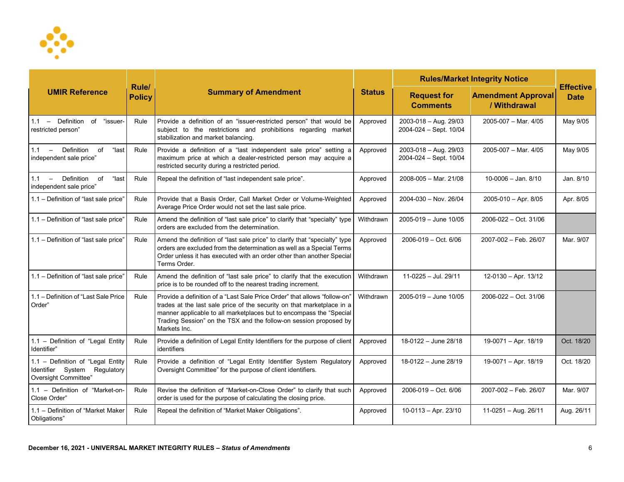

| <b>UMIR Reference</b>                                                                     |                               | <b>Summary of Amendment</b>                                                                                                                                                                                                                                                                                     | <b>Status</b> | <b>Rules/Market Integrity Notice</b>                |                                           |                                 |
|-------------------------------------------------------------------------------------------|-------------------------------|-----------------------------------------------------------------------------------------------------------------------------------------------------------------------------------------------------------------------------------------------------------------------------------------------------------------|---------------|-----------------------------------------------------|-------------------------------------------|---------------------------------|
|                                                                                           | <b>Rule/</b><br><b>Policy</b> |                                                                                                                                                                                                                                                                                                                 |               | <b>Request for</b><br><b>Comments</b>               | <b>Amendment Approval</b><br>/ Withdrawal | <b>Effective</b><br><b>Date</b> |
| 1.1 - Definition of "issuer-<br>restricted person"                                        | Rule                          | Provide a definition of an "issuer-restricted person" that would be<br>subject to the restrictions and prohibitions regarding market<br>stabilization and market balancing.                                                                                                                                     | Approved      | $2003 - 018 - Aug. 29/03$<br>2004-024 - Sept. 10/04 | $2005-007 - \text{Mar. } 4/05$            | May 9/05                        |
| $1.1 -$ Definition<br>"last<br>of<br>independent sale price"                              | Rule                          | Provide a definition of a "last independent sale price" setting a<br>maximum price at which a dealer-restricted person may acquire a<br>restricted security during a restricted period.                                                                                                                         | Approved      | 2003-018 - Aug. 29/03<br>2004-024 - Sept. 10/04     | 2005-007 - Mar. 4/05                      | May 9/05                        |
| $1.1 -$ Definition<br>"last<br>of<br>independent sale price"                              | Rule                          | Repeal the definition of "last independent sale price".                                                                                                                                                                                                                                                         | Approved      | $2008 - 005 - \text{Mar. } 21/08$                   | $10-0006 -$ Jan. 8/10                     | Jan. 8/10                       |
| 1.1 - Definition of "last sale price"                                                     | Rule                          | Provide that a Basis Order, Call Market Order or Volume-Weighted<br>Average Price Order would not set the last sale price.                                                                                                                                                                                      | Approved      | 2004-030 - Nov. 26/04                               | 2005-010 - Apr. 8/05                      | Apr. 8/05                       |
| 1.1 - Definition of "last sale price"                                                     | Rule                          | Amend the definition of "last sale price" to clarify that "specialty" type<br>orders are excluded from the determination.                                                                                                                                                                                       | Withdrawn     | $2005 - 019 -$ June 10/05                           | 2006-022 - Oct. 31/06                     |                                 |
| 1.1 - Definition of "last sale price"                                                     | Rule                          | Amend the definition of "last sale price" to clarify that "specialty" type<br>orders are excluded from the determination as well as a Special Terms<br>Order unless it has executed with an order other than another Special<br>Terms Order.                                                                    | Approved      | 2006-019 - Oct. 6/06                                | 2007-002 - Feb. 26/07                     | Mar. 9/07                       |
| 1.1 - Definition of "last sale price"                                                     | Rule                          | Amend the definition of "last sale price" to clarify that the execution<br>price is to be rounded off to the nearest trading increment.                                                                                                                                                                         | Withdrawn     | 11-0225 - Jul. 29/11                                | 12-0130 - Apr. 13/12                      |                                 |
| 1.1 – Definition of "Last Sale Price"<br>Order"                                           | Rule                          | Provide a definition of a "Last Sale Price Order" that allows "follow-on"<br>trades at the last sale price of the security on that marketplace in a<br>manner applicable to all marketplaces but to encompass the "Special<br>Trading Session" on the TSX and the follow-on session proposed by<br>Markets Inc. | Withdrawn     | $2005 - 019 -$ June 10/05                           | 2006-022 - Oct. 31/06                     |                                 |
| 1.1 - Definition of "Legal Entity<br>Identifier"                                          | Rule                          | Provide a definition of Legal Entity Identifiers for the purpose of client<br>identifiers                                                                                                                                                                                                                       | Approved      | 18-0122 - June 28/18                                | 19-0071 - Apr. 18/19                      | Oct. 18/20                      |
| 1.1 - Definition of "Legal Entity<br>Identifier System Regulatory<br>Oversight Committee" | Rule                          | Provide a definition of "Legal Entity Identifier System Regulatory<br>Oversight Committee" for the purpose of client identifiers.                                                                                                                                                                               | Approved      | 18-0122 - June 28/19                                | 19-0071 - Apr. 18/19                      | Oct. 18/20                      |
| 1.1 - Definition of "Market-on-<br>Close Order"                                           | Rule                          | Revise the definition of "Market-on-Close Order" to clarify that such<br>order is used for the purpose of calculating the closing price.                                                                                                                                                                        | Approved      | 2006-019 - Oct. 6/06                                | 2007-002 - Feb. 26/07                     | Mar. 9/07                       |
| 1.1 - Definition of "Market Maker<br>Obligations"                                         | Rule                          | Repeal the definition of "Market Maker Obligations".                                                                                                                                                                                                                                                            | Approved      | $10-0113 - Apr. 23/10$                              | $11-0251 - Aug. 26/11$                    | Aug. 26/11                      |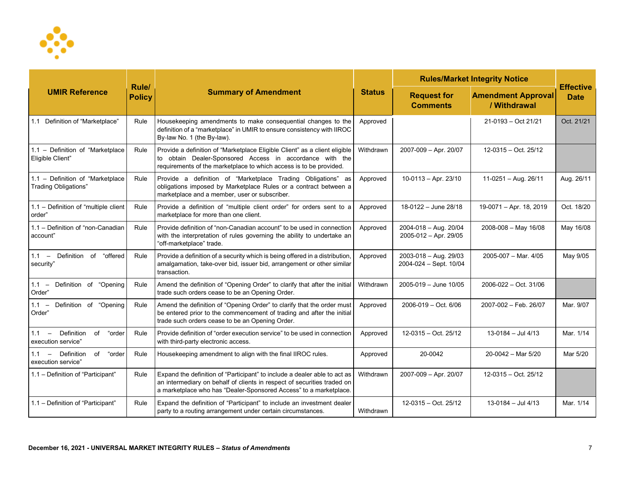

| <b>UMIR Reference</b>                                       |                        | <b>Summary of Amendment</b>                                                                                                                                                                                               | <b>Status</b> | <b>Rules/Market Integrity Notice</b>            |                                           |                                 |
|-------------------------------------------------------------|------------------------|---------------------------------------------------------------------------------------------------------------------------------------------------------------------------------------------------------------------------|---------------|-------------------------------------------------|-------------------------------------------|---------------------------------|
|                                                             | Rule/<br><b>Policy</b> |                                                                                                                                                                                                                           |               | <b>Request for</b><br><b>Comments</b>           | <b>Amendment Approval</b><br>/ Withdrawal | <b>Effective</b><br><b>Date</b> |
| 1.1 Definition of "Marketplace"                             | Rule                   | Housekeeping amendments to make consequential changes to the<br>definition of a "marketplace" in UMIR to ensure consistency with IIROC<br>By-law No. 1 (the By-law).                                                      | Approved      |                                                 | 21-0193 - Oct 21/21                       | Oct. 21/21                      |
| 1.1 - Definition of "Marketplace<br>Eligible Client"        | Rule                   | Provide a definition of "Marketplace Eligible Client" as a client eligible<br>to obtain Dealer-Sponsored Access in accordance with the<br>requirements of the marketplace to which access is to be provided.              | Withdrawn     | 2007-009 - Apr. 20/07                           | 12-0315 - Oct. 25/12                      |                                 |
| 1.1 - Definition of "Marketplace<br>Trading Obligations"    | Rule                   | Provide a definition of "Marketplace Trading Obligations" as<br>obligations imposed by Marketplace Rules or a contract between a<br>marketplace and a member, user or subscriber.                                         | Approved      | $10-0113 - Apr. 23/10$                          | $11-0251 - Aug. 26/11$                    | Aug. 26/11                      |
| 1.1 - Definition of "multiple client<br>order"              | Rule                   | Provide a definition of "multiple client order" for orders sent to a<br>marketplace for more than one client.                                                                                                             | Approved      | 18-0122 - June 28/18                            | 19-0071 - Apr. 18, 2019                   | Oct. 18/20                      |
| 1.1 - Definition of "non-Canadian<br>account"               | Rule                   | Provide definition of "non-Canadian account" to be used in connection<br>with the interpretation of rules governing the ability to undertake an<br>"off-marketplace" trade.                                               | Approved      | 2004-018 - Aug. 20/04<br>2005-012 - Apr. 29/05  | $2008 - 008 -$ May 16/08                  | May 16/08                       |
| 1.1 - Definition of "offered<br>security"                   | Rule                   | Provide a definition of a security which is being offered in a distribution,<br>amalgamation, take-over bid, issuer bid, arrangement or other similar<br>transaction.                                                     | Approved      | 2003-018 - Aug. 29/03<br>2004-024 - Sept. 10/04 | 2005-007 - Mar. 4/05                      | May 9/05                        |
| Definition of<br>"Opening<br>$1.1 -$<br>Order"              | Rule                   | Amend the definition of "Opening Order" to clarify that after the initial<br>trade such orders cease to be an Opening Order.                                                                                              | Withdrawn     | $2005 - 019 -$ June 10/05                       | 2006-022 - Oct. 31/06                     |                                 |
| Definition of "Opening<br>$1.1 -$<br>Order"                 | Rule                   | Amend the definition of "Opening Order" to clarify that the order must<br>be entered prior to the commencement of trading and after the initial<br>trade such orders cease to be an Opening Order.                        | Approved      | $2006 - 019 - Oct. 6/06$                        | 2007-002 - Feb. 26/07                     | Mar. 9/07                       |
| $1.1 -$ Definition<br>of<br>"order<br>execution service"    | Rule                   | Provide definition of "order execution service" to be used in connection<br>with third-party electronic access.                                                                                                           | Approved      | 12-0315 - Oct. 25/12                            | $13-0184 -$ Jul 4/13                      | Mar. 1/14                       |
| Definition<br>of<br>"order<br>$1.1 -$<br>execution service" | Rule                   | Housekeeping amendment to align with the final IIROC rules.                                                                                                                                                               | Approved      | 20-0042                                         | $20-0042$ – Mar 5/20                      | Mar 5/20                        |
| 1.1 - Definition of "Participant"                           | Rule                   | Expand the definition of "Participant" to include a dealer able to act as<br>an intermediary on behalf of clients in respect of securities traded on<br>a marketplace who has "Dealer-Sponsored Access" to a marketplace. | Withdrawn     | 2007-009 - Apr. 20/07                           | 12-0315 - Oct. 25/12                      |                                 |
| 1.1 - Definition of "Participant"                           | Rule                   | Expand the definition of "Participant" to include an investment dealer<br>party to a routing arrangement under certain circumstances.                                                                                     | Withdrawn     | 12-0315 - Oct. 25/12                            | $13-0184 -$ Jul 4/13                      | Mar. 1/14                       |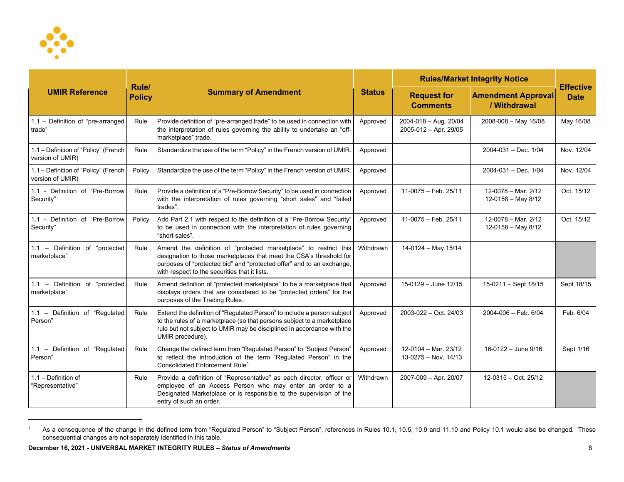<span id="page-7-0"></span>

| <b>UMIR Reference</b>                                    |                        | <b>Summary of Amendment</b>                                                                                                                                                                                                                                       | <b>Status</b> | <b>Rules/Market Integrity Notice</b>               |                                               |                                 |
|----------------------------------------------------------|------------------------|-------------------------------------------------------------------------------------------------------------------------------------------------------------------------------------------------------------------------------------------------------------------|---------------|----------------------------------------------------|-----------------------------------------------|---------------------------------|
|                                                          | Rule/<br><b>Policy</b> |                                                                                                                                                                                                                                                                   |               | <b>Request for</b><br><b>Comments</b>              | <b>Amendment Approval</b><br>/ Withdrawal     | <b>Effective</b><br><b>Date</b> |
| 1.1 - Definition of "pre-arranged<br>trade"              | Rule                   | Provide definition of "pre-arranged trade" to be used in connection with<br>the interpretation of rules governing the ability to undertake an "off-<br>marketplace" trade.                                                                                        | Approved      | $2004 - 018 - Aug. 20/04$<br>2005-012 - Apr. 29/05 | 2008-008 - May 16/08                          | May 16/08                       |
| 1.1 - Definition of "Policy" (French<br>version of UMIR) | Rule                   | Standardize the use of the term "Policy" in the French version of UMIR.                                                                                                                                                                                           | Approved      |                                                    | 2004-031 - Dec. 1/04                          | Nov. 12/04                      |
| 1.1 - Definition of "Policy" (French<br>version of UMIR) | Policy                 | Standardize the use of the term "Policy" in the French version of UMIR.                                                                                                                                                                                           | Approved      |                                                    | 2004-031 - Dec. 1/04                          | Nov. 12/04                      |
| 1.1 - Definition of "Pre-Borrow<br>Security"             | Rule                   | Provide a definition of a "Pre-Borrow Security" to be used in connection<br>with the interpretation of rules governing "short sales" and "failed<br>trades".                                                                                                      | Approved      | 11-0075 - Feb. 25/11                               | 12-0078 - Mar. 2/12<br>12-0158 - May 8/12     | Oct. 15/12                      |
| 1.1 - Definition of "Pre-Borrow<br>Security"             | Policy                 | Add Part 2.1 with respect to the definition of a "Pre-Borrow Security"<br>to be used in connection with the interpretation of rules governing<br>"short sales".                                                                                                   | Approved      | 11-0075 - Feb. 25/11                               | 12-0078 - Mar. 2/12<br>$12 - 0158 -$ May 8/12 | Oct. 15/12                      |
| 1.1 - Definition of "protected<br>marketplace"           | Rule                   | Amend the definition of "protected marketplace" to restrict this<br>designation to those marketplaces that meet the CSA's threshold for<br>purposes of "protected bid" and "protected offer" and to an exchange,<br>with respect to the securities that it lists. | Withdrawn     | 14-0124 - May 15/14                                |                                               |                                 |
| 1.1 - Definition of "protected<br>marketplace"           | Rule                   | Amend definition of "protected marketplace" to be a marketplace that<br>displays orders that are considered to be "protected orders" for the<br>purposes of the Trading Rules.                                                                                    | Approved      | 15-0129 - June 12/15                               | 15-0211 - Sept 18/15                          | Sept 18/15                      |
| 1.1 - Definition of "Regulated<br>Person"                | Rule                   | Extend the definition of "Regulated Person" to include a person subject<br>to the rules of a marketplace (so that persons subject to a marketplace<br>rule but not subject to UMIR may be disciplined in accordance with the<br>UMIR procedure).                  | Approved      | 2003-022 - Oct. 24/03                              | $2004 - 006 - Feb. 6/04$                      | Feb. 6/04                       |
| 1.1 - Definition of "Regulated<br>Person"                | Rule                   | Change the defined term from "Regulated Person" to "Subject Person"<br>to reflect the introduction of the term "Regulated Person" in the<br>Consolidated Enforcement Rule <sup>1</sup>                                                                            | Approved      | 12-0104 - Mar. 23/12<br>13-0275 - Nov. 14/13       | 16-0122 - June 9/16                           | Sept 1/16                       |
| 1.1 - Definition of<br>"Representative"                  | Rule                   | Provide a definition of "Representative" as each director, officer or<br>employee of an Access Person who may enter an order to a<br>Designated Marketplace or is responsible to the supervision of the<br>entry of such an order.                                | Withdrawn     | 2007-009 - Apr. 20/07                              | 12-0315 - Oct. 25/12                          |                                 |

<sup>1</sup> As a consequence of the change in the defined term from "Regulated Person" to "Subject Person", references in Rules 10.1, 10.5, 10.9 and 11.10 and Policy 10.1 would also be changed. These consequential changes are not separately identified in this table.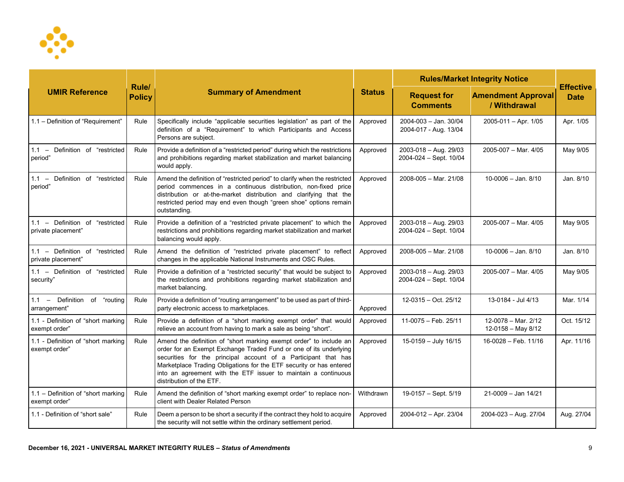

| <b>UMIR Reference</b>                                  |                        | <b>Summary of Amendment</b>                                                                                                                                                                                                                                                                                                                                                    | <b>Status</b> | <b>Rules/Market Integrity Notice</b>                |                                           |                                 |
|--------------------------------------------------------|------------------------|--------------------------------------------------------------------------------------------------------------------------------------------------------------------------------------------------------------------------------------------------------------------------------------------------------------------------------------------------------------------------------|---------------|-----------------------------------------------------|-------------------------------------------|---------------------------------|
|                                                        | Rule/<br><b>Policy</b> |                                                                                                                                                                                                                                                                                                                                                                                |               | <b>Request for</b><br><b>Comments</b>               | <b>Amendment Approval</b><br>/ Withdrawal | <b>Effective</b><br><b>Date</b> |
| 1.1 - Definition of "Requirement"                      | Rule                   | Specifically include "applicable securities legislation" as part of the<br>definition of a "Requirement" to which Participants and Access<br>Persons are subject.                                                                                                                                                                                                              | Approved      | 2004-003 - Jan. 30/04<br>2004-017 - Aug. 13/04      | $2005 - 011 -$ Apr. 1/05                  | Apr. 1/05                       |
| 1.1 - Definition of "restricted<br>period"             | Rule                   | Provide a definition of a "restricted period" during which the restrictions<br>and prohibitions regarding market stabilization and market balancing<br>would apply.                                                                                                                                                                                                            | Approved      | 2003-018 - Aug. 29/03<br>2004-024 - Sept. 10/04     | 2005-007 - Mar. 4/05                      | May 9/05                        |
| Definition of "restricted<br>$1.1 -$<br>period"        | Rule                   | Amend the definition of "restricted period" to clarify when the restricted<br>period commences in a continuous distribution, non-fixed price<br>distribution or at-the-market distribution and clarifying that the<br>restricted period may end even though "green shoe" options remain<br>outstanding.                                                                        | Approved      | $2008 - 005 -$ Mar. 21/08                           | $10-0006 -$ Jan. 8/10                     | Jan. 8/10                       |
| 1.1 - Definition of "restricted<br>private placement"  | Rule                   | Provide a definition of a "restricted private placement" to which the<br>restrictions and prohibitions regarding market stabilization and market<br>balancing would apply.                                                                                                                                                                                                     | Approved      | $2003 - 018 - Aug. 29/03$<br>2004-024 - Sept. 10/04 | $2005 - 007 - \text{Mar. } 4/05$          | May 9/05                        |
| 1.1 - Definition of "restricted"<br>private placement" | Rule                   | Amend the definition of "restricted private placement" to reflect<br>changes in the applicable National Instruments and OSC Rules.                                                                                                                                                                                                                                             | Approved      | 2008-005 - Mar. 21/08                               | $10 - 0006 -$ Jan. 8/10                   | Jan. 8/10                       |
| 1.1 - Definition of "restricted<br>security"           | Rule                   | Provide a definition of a "restricted security" that would be subject to<br>the restrictions and prohibitions regarding market stabilization and<br>market balancing.                                                                                                                                                                                                          | Approved      | 2003-018 - Aug. 29/03<br>2004-024 - Sept. 10/04     | 2005-007 - Mar. 4/05                      | May 9/05                        |
| 1.1 - Definition of "routing<br>arrangement"           | Rule                   | Provide a definition of "routing arrangement" to be used as part of third-<br>party electronic access to marketplaces.                                                                                                                                                                                                                                                         | Approved      | 12-0315 - Oct. 25/12                                | 13-0184 - Jul 4/13                        | Mar. 1/14                       |
| 1.1 - Definition of "short marking<br>exempt order"    | Rule                   | Provide a definition of a "short marking exempt order" that would<br>relieve an account from having to mark a sale as being "short".                                                                                                                                                                                                                                           | Approved      | 11-0075 - Feb. 25/11                                | 12-0078 - Mar. 2/12<br>12-0158 - May 8/12 | Oct. 15/12                      |
| 1.1 - Definition of "short marking<br>exempt order"    | Rule                   | Amend the definition of "short marking exempt order" to include an<br>order for an Exempt Exchange Traded Fund or one of its underlying<br>securities for the principal account of a Participant that has<br>Marketplace Trading Obligations for the ETF security or has entered<br>into an agreement with the ETF issuer to maintain a continuous<br>distribution of the ETF. | Approved      | 15-0159 - July 16/15                                | 16-0028 - Feb. 11/16                      | Apr. 11/16                      |
| 1.1 - Definition of "short marking<br>exempt order"    | Rule                   | Amend the definition of "short marking exempt order" to replace non-<br>client with Dealer Related Person                                                                                                                                                                                                                                                                      | Withdrawn     | 19-0157 - Sept. 5/19                                | 21-0009 - Jan 14/21                       |                                 |
| 1.1 - Definition of "short sale"                       | Rule                   | Deem a person to be short a security if the contract they hold to acquire<br>the security will not settle within the ordinary settlement period.                                                                                                                                                                                                                               | Approved      | 2004-012 - Apr. 23/04                               | 2004-023 - Aug. 27/04                     | Aug. 27/04                      |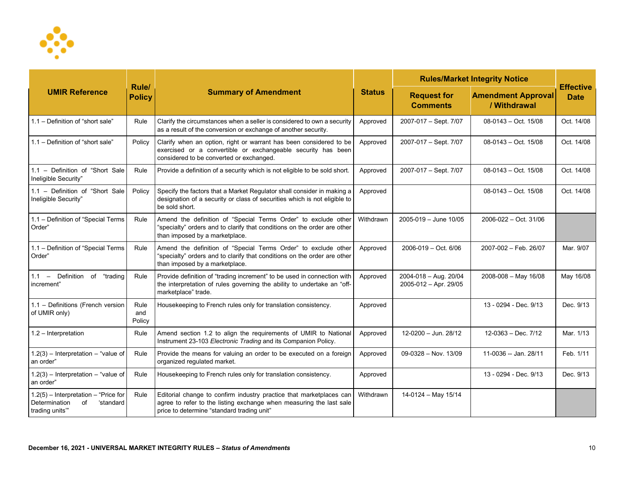

| <b>UMIR Reference</b>                                                                        |                        | <b>Summary of Amendment</b>                                                                                                                                                              | <b>Status</b> | <b>Rules/Market Integrity Notice</b>           |                                           |                                 |
|----------------------------------------------------------------------------------------------|------------------------|------------------------------------------------------------------------------------------------------------------------------------------------------------------------------------------|---------------|------------------------------------------------|-------------------------------------------|---------------------------------|
|                                                                                              | Rule/<br><b>Policy</b> |                                                                                                                                                                                          |               | <b>Request for</b><br><b>Comments</b>          | <b>Amendment Approval</b><br>/ Withdrawal | <b>Effective</b><br><b>Date</b> |
| 1.1 - Definition of "short sale"                                                             | Rule                   | Clarify the circumstances when a seller is considered to own a security<br>as a result of the conversion or exchange of another security.                                                | Approved      | 2007-017 - Sept. 7/07                          | $08-0143 - Oct. 15/08$                    | Oct. 14/08                      |
| 1.1 - Definition of "short sale"                                                             | Policy                 | Clarify when an option, right or warrant has been considered to be<br>exercised or a convertible or exchangeable security has been<br>considered to be converted or exchanged.           | Approved      | 2007-017 - Sept. 7/07                          | 08-0143 - Oct. 15/08                      | Oct. 14/08                      |
| 1.1 - Definition of "Short Sale<br>Ineligible Security"                                      | Rule                   | Provide a definition of a security which is not eligible to be sold short.                                                                                                               | Approved      | 2007-017 - Sept. 7/07                          | 08-0143 - Oct. 15/08                      | Oct. 14/08                      |
| 1.1 - Definition of "Short Sale<br>Ineligible Security"                                      | Policy                 | Specify the factors that a Market Regulator shall consider in making a<br>designation of a security or class of securities which is not eligible to<br>be sold short.                    | Approved      |                                                | $08-0143 - Oct. 15/08$                    | Oct. 14/08                      |
| 1.1 - Definition of "Special Terms<br>Order"                                                 | Rule                   | Amend the definition of "Special Terms Order" to exclude other<br>"specialty" orders and to clarify that conditions on the order are other<br>than imposed by a marketplace.             | Withdrawn     | 2005-019 - June 10/05                          | 2006-022 - Oct. 31/06                     |                                 |
| 1.1 - Definition of "Special Terms<br>Order"                                                 | Rule                   | Amend the definition of "Special Terms Order" to exclude other<br>"specialty" orders and to clarify that conditions on the order are other<br>than imposed by a marketplace.             | Approved      | 2006-019 - Oct. 6/06                           | 2007-002 - Feb. 26/07                     | Mar. 9/07                       |
| of "trading<br>$1.1 -$ Definition<br>increment"                                              | Rule                   | Provide definition of "trading increment" to be used in connection with<br>the interpretation of rules governing the ability to undertake an "off-<br>marketplace" trade.                | Approved      | 2004-018 - Aug. 20/04<br>2005-012 - Apr. 29/05 | 2008-008 - May 16/08                      | May 16/08                       |
| 1.1 - Definitions (French version<br>of UMIR only)                                           | Rule<br>and<br>Policy  | Housekeeping to French rules only for translation consistency.                                                                                                                           | Approved      |                                                | 13 - 0294 - Dec. 9/13                     | Dec. 9/13                       |
| 1.2 - Interpretation                                                                         | Rule                   | Amend section 1.2 to align the requirements of UMIR to National<br>Instrument 23-103 Electronic Trading and its Companion Policy.                                                        | Approved      | 12-0200 - Jun. 28/12                           | $12-0363 - Dec.7/12$                      | Mar. 1/13                       |
| $1.2(3)$ - Interpretation - "value of<br>an order"                                           | Rule                   | Provide the means for valuing an order to be executed on a foreign<br>organized regulated market.                                                                                        | Approved      | 09-0328 - Nov. 13/09                           | 11-0036 -- Jan. 28/11                     | Feb. 1/11                       |
| $1.2(3)$ - Interpretation - "value of<br>an order"                                           | Rule                   | Housekeeping to French rules only for translation consistency.                                                                                                                           | Approved      |                                                | 13 - 0294 - Dec. 9/13                     | Dec. 9/13                       |
| $1.2(5)$ - Interpretation - "Price for<br>Determination<br>of<br>'standard<br>trading units" | Rule                   | Editorial change to confirm industry practice that marketplaces can<br>agree to refer to the listing exchange when measuring the last sale<br>price to determine "standard trading unit" | Withdrawn     | 14-0124 - May 15/14                            |                                           |                                 |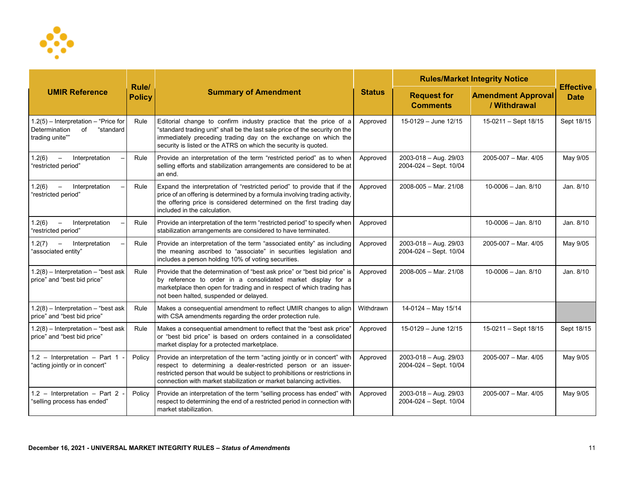

| <b>UMIR Reference</b>                                                                       |                        | <b>Summary of Amendment</b>                                                                                                                                                                                                                                                                        | <b>Status</b> | <b>Rules/Market Integrity Notice</b>                |                                           |                                 |
|---------------------------------------------------------------------------------------------|------------------------|----------------------------------------------------------------------------------------------------------------------------------------------------------------------------------------------------------------------------------------------------------------------------------------------------|---------------|-----------------------------------------------------|-------------------------------------------|---------------------------------|
|                                                                                             | Rule/<br><b>Policy</b> |                                                                                                                                                                                                                                                                                                    |               | <b>Request for</b><br><b>Comments</b>               | <b>Amendment Approval</b><br>/ Withdrawal | <b>Effective</b><br><b>Date</b> |
| 1.2(5) - Interpretation - "Price for<br>Determination<br>"standard<br>of<br>trading unite"" | Rule                   | Editorial change to confirm industry practice that the price of a<br>"standard trading unit" shall be the last sale price of the security on the<br>immediately preceding trading day on the exchange on which the<br>security is listed or the ATRS on which the security is quoted.              | Approved      | 15-0129 - June 12/15                                | 15-0211 - Sept 18/15                      | Sept 18/15                      |
| 1.2(6)<br>Interpretation<br>$\overline{\phantom{m}}$<br>"restricted period"                 | Rule                   | Provide an interpretation of the term "restricted period" as to when<br>selling efforts and stabilization arrangements are considered to be at<br>an end.                                                                                                                                          | Approved      | $2003 - 018 - Aug. 29/03$<br>2004-024 - Sept. 10/04 | 2005-007 - Mar. 4/05                      | May 9/05                        |
| Interpretation<br>1.2(6)<br>"restricted period"                                             | Rule                   | Expand the interpretation of "restricted period" to provide that if the<br>price of an offering is determined by a formula involving trading activity,<br>the offering price is considered determined on the first trading day<br>included in the calculation.                                     | Approved      | 2008-005 - Mar. 21/08                               | $10-0006 -$ Jan. $8/10$                   | Jan. 8/10                       |
| 1.2(6)<br>Interpretation<br>$\overline{\phantom{m}}$<br>"restricted period"                 | Rule                   | Provide an interpretation of the term "restricted period" to specify when<br>stabilization arrangements are considered to have terminated.                                                                                                                                                         | Approved      |                                                     | $10-0006 -$ Jan. $8/10$                   | Jan. 8/10                       |
| 1.2(7)<br>Interpretation<br>$-$<br>'associated entity"                                      | Rule                   | Provide an interpretation of the term "associated entity" as including<br>the meaning ascribed to "associate" in securities legislation and<br>includes a person holding 10% of voting securities.                                                                                                 | Approved      | 2003-018 - Aug. 29/03<br>2004-024 - Sept. 10/04     | 2005-007 - Mar. 4/05                      | May 9/05                        |
| $1.2(8)$ - Interpretation - "best ask<br>price" and "best bid price"                        | Rule                   | Provide that the determination of "best ask price" or "best bid price" is<br>by reference to order in a consolidated market display for a<br>marketplace then open for trading and in respect of which trading has<br>not been halted, suspended or delayed.                                       | Approved      | 2008-005 - Mar. 21/08                               | $10-0006 -$ Jan. $8/10$                   | Jan. 8/10                       |
| $1.2(8)$ – Interpretation – "best ask<br>price" and "best bid price"                        | Rule                   | Makes a consequential amendment to reflect UMIR changes to align<br>with CSA amendments regarding the order protection rule.                                                                                                                                                                       | Withdrawn     | 14-0124 - May 15/14                                 |                                           |                                 |
| $1.2(8)$ - Interpretation - "best ask<br>price" and "best bid price"                        | Rule                   | Makes a consequential amendment to reflect that the "best ask price"<br>or "best bid price" is based on orders contained in a consolidated<br>market display for a protected marketplace.                                                                                                          | Approved      | 15-0129 - June 12/15                                | $15-0211 -$ Sept $18/15$                  | Sept 18/15                      |
| 1.2 - Interpretation - Part 1 $\cdot$<br>"acting jointly or in concert"                     | Policy                 | Provide an interpretation of the term "acting jointly or in concert" with<br>respect to determining a dealer-restricted person or an issuer-<br>restricted person that would be subject to prohibitions or restrictions in<br>connection with market stabilization or market balancing activities. | Approved      | 2003-018 - Aug. 29/03<br>2004-024 - Sept. 10/04     | $2005 - 007 - \text{Mar. } 4/05$          | May 9/05                        |
| 1.2 - Interpretation - Part 2 -<br>"selling process has ended"                              | Policy                 | Provide an interpretation of the term "selling process has ended" with<br>respect to determining the end of a restricted period in connection with<br>market stabilization.                                                                                                                        | Approved      | 2003-018 - Aug. 29/03<br>2004-024 - Sept. 10/04     | $2005 - 007 - \text{Mar. } 4/05$          | May 9/05                        |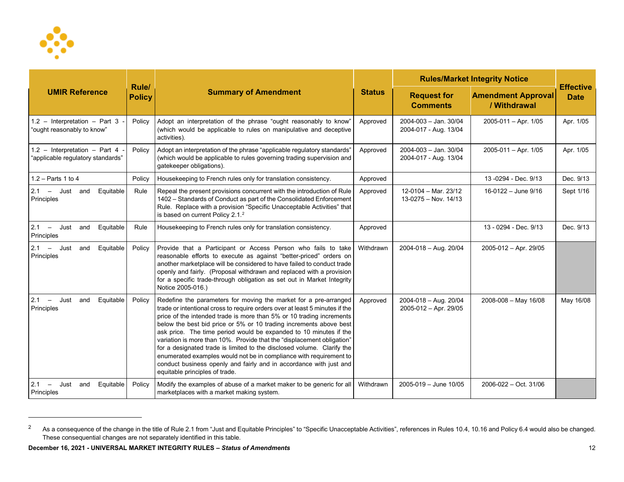<span id="page-11-0"></span>

| <b>UMIR Reference</b>                                              |                               | <b>Summary of Amendment</b>                                                                                                                                                                                                                                                                                                                                                                                                                                                                                                                                                                                                                                                                          | <b>Status</b> | <b>Rules/Market Integrity Notice</b>           |                                           |                                 |
|--------------------------------------------------------------------|-------------------------------|------------------------------------------------------------------------------------------------------------------------------------------------------------------------------------------------------------------------------------------------------------------------------------------------------------------------------------------------------------------------------------------------------------------------------------------------------------------------------------------------------------------------------------------------------------------------------------------------------------------------------------------------------------------------------------------------------|---------------|------------------------------------------------|-------------------------------------------|---------------------------------|
|                                                                    | <b>Rule/</b><br><b>Policy</b> |                                                                                                                                                                                                                                                                                                                                                                                                                                                                                                                                                                                                                                                                                                      |               | <b>Request for</b><br><b>Comments</b>          | <b>Amendment Approval</b><br>/ Withdrawal | <b>Effective</b><br><b>Date</b> |
| 1.2 - Interpretation - Part 3 -<br>"ought reasonably to know"      | Policy                        | Adopt an interpretation of the phrase "ought reasonably to know"<br>(which would be applicable to rules on manipulative and deceptive<br>activities).                                                                                                                                                                                                                                                                                                                                                                                                                                                                                                                                                | Approved      | 2004-003 - Jan. 30/04<br>2004-017 - Aug. 13/04 | $2005 - 011 -$ Apr. 1/05                  | Apr. 1/05                       |
| 1.2 - Interpretation - Part 4<br>"applicable regulatory standards" | Policy                        | Adopt an interpretation of the phrase "applicable regulatory standards"<br>(which would be applicable to rules governing trading supervision and<br>gatekeeper obligations).                                                                                                                                                                                                                                                                                                                                                                                                                                                                                                                         | Approved      | 2004-003 - Jan. 30/04<br>2004-017 - Aug. 13/04 | $2005-011 - Apr. 1/05$                    | Apr. 1/05                       |
| $1.2 - Parts 1 to 4$                                               | Policy                        | Housekeeping to French rules only for translation consistency.                                                                                                                                                                                                                                                                                                                                                                                                                                                                                                                                                                                                                                       | Approved      |                                                | 13-0294 - Dec. 9/13                       | Dec. 9/13                       |
| Equitable<br>$2.1 -$ Just and<br>Principles                        | Rule                          | Repeal the present provisions concurrent with the introduction of Rule<br>1402 - Standards of Conduct as part of the Consolidated Enforcement<br>Rule. Replace with a provision "Specific Unacceptable Activities" that<br>is based on current Policy 2.1. <sup>2</sup>                                                                                                                                                                                                                                                                                                                                                                                                                              | Approved      | 12-0104 - Mar. 23/12<br>13-0275 - Nov. 14/13   | 16-0122 - June 9/16                       | Sept 1/16                       |
| $2.1 -$ Just<br>Equitable<br>and<br>Principles                     | Rule                          | Housekeeping to French rules only for translation consistency.                                                                                                                                                                                                                                                                                                                                                                                                                                                                                                                                                                                                                                       | Approved      |                                                | 13 - 0294 - Dec. 9/13                     | Dec. 9/13                       |
| $2.1 -$ Just<br>Equitable<br>and<br>Principles                     | Policy                        | Provide that a Participant or Access Person who fails to take<br>reasonable efforts to execute as against "better-priced" orders on<br>another marketplace will be considered to have failed to conduct trade<br>openly and fairly. (Proposal withdrawn and replaced with a provision<br>for a specific trade-through obligation as set out in Market Integrity<br>Notice 2005-016.)                                                                                                                                                                                                                                                                                                                 | Withdrawn     | 2004-018 - Aug. 20/04                          | 2005-012 - Apr. 29/05                     |                                 |
| Equitable<br>$2.1 -$ Just<br>and<br>Principles                     | Policy                        | Redefine the parameters for moving the market for a pre-arranged<br>trade or intentional cross to require orders over at least 5 minutes if the<br>price of the intended trade is more than 5% or 10 trading increments<br>below the best bid price or 5% or 10 trading increments above best<br>ask price. The time period would be expanded to 10 minutes if the<br>variation is more than 10%. Provide that the "displacement obligation"<br>for a designated trade is limited to the disclosed volume. Clarify the<br>enumerated examples would not be in compliance with requirement to<br>conduct business openly and fairly and in accordance with just and<br>equitable principles of trade. | Approved      | 2004-018 - Aug. 20/04<br>2005-012 - Apr. 29/05 | $2008 - 008 -$ May 16/08                  | May 16/08                       |
| 2.1<br>Just<br>and<br>Equitable<br>$-$<br>Principles               | Policy                        | Modify the examples of abuse of a market maker to be generic for all<br>marketplaces with a market making system.                                                                                                                                                                                                                                                                                                                                                                                                                                                                                                                                                                                    | Withdrawn     | 2005-019 - June 10/05                          | 2006-022 - Oct. 31/06                     |                                 |

<sup>&</sup>lt;sup>2</sup> As a consequence of the change in the title of Rule 2.1 from "Just and Equitable Principles" to "Specific Unacceptable Activities", references in Rules 10.4, 10.16 and Policy 6.4 would also be changed. These consequential changes are not separately identified in this table.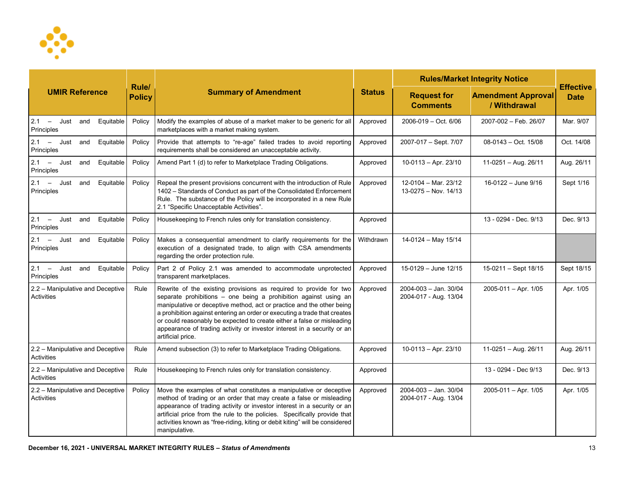

|                                                |                        |                                                                                                                                                                                                                                                                                                                                                                                                                                                                       |               | <b>Rules/Market Integrity Notice</b>           |                                           |                                 |
|------------------------------------------------|------------------------|-----------------------------------------------------------------------------------------------------------------------------------------------------------------------------------------------------------------------------------------------------------------------------------------------------------------------------------------------------------------------------------------------------------------------------------------------------------------------|---------------|------------------------------------------------|-------------------------------------------|---------------------------------|
| <b>UMIR Reference</b>                          | Rule/<br><b>Policy</b> | <b>Summary of Amendment</b>                                                                                                                                                                                                                                                                                                                                                                                                                                           | <b>Status</b> | <b>Request for</b><br><b>Comments</b>          | <b>Amendment Approval</b><br>/ Withdrawal | <b>Effective</b><br><b>Date</b> |
| $2.1 -$ Just<br>Equitable<br>and<br>Principles | Policy                 | Modify the examples of abuse of a market maker to be generic for all<br>marketplaces with a market making system.                                                                                                                                                                                                                                                                                                                                                     | Approved      | 2006-019 - Oct. 6/06                           | 2007-002 - Feb. 26/07                     | Mar. 9/07                       |
| $2.1 -$ Just<br>Equitable<br>and<br>Principles | Policy                 | Provide that attempts to "re-age" failed trades to avoid reporting<br>requirements shall be considered an unacceptable activity.                                                                                                                                                                                                                                                                                                                                      | Approved      | 2007-017 - Sept. 7/07                          | $08-0143 - Oct. 15/08$                    | Oct. 14/08                      |
| $2.1 -$ Just<br>Equitable<br>and<br>Principles | Policy                 | Amend Part 1 (d) to refer to Marketplace Trading Obligations.                                                                                                                                                                                                                                                                                                                                                                                                         | Approved      | 10-0113 - Apr. 23/10                           | 11-0251 - Aug. 26/11                      | Aug. 26/11                      |
| $2.1 -$ Just<br>Equitable<br>and<br>Principles | Policy                 | Repeal the present provisions concurrent with the introduction of Rule<br>1402 - Standards of Conduct as part of the Consolidated Enforcement<br>Rule. The substance of the Policy will be incorporated in a new Rule<br>2.1 "Specific Unacceptable Activities".                                                                                                                                                                                                      | Approved      | 12-0104 - Mar. 23/12<br>$13-0275 - Nov. 14/13$ | 16-0122 - June 9/16                       | Sept 1/16                       |
| $2.1 -$ Just<br>Equitable<br>and<br>Principles | Policy                 | Housekeeping to French rules only for translation consistency.                                                                                                                                                                                                                                                                                                                                                                                                        | Approved      |                                                | 13 - 0294 - Dec. 9/13                     | Dec. 9/13                       |
| 2.1 - Just and Equitable<br>Principles         | Policy                 | Makes a consequential amendment to clarify requirements for the<br>execution of a designated trade, to align with CSA amendments<br>regarding the order protection rule.                                                                                                                                                                                                                                                                                              | Withdrawn     | 14-0124 - May 15/14                            |                                           |                                 |
| $2.1 -$ Just<br>Equitable<br>and<br>Principles | Policy                 | Part 2 of Policy 2.1 was amended to accommodate unprotected<br>transparent marketplaces.                                                                                                                                                                                                                                                                                                                                                                              | Approved      | 15-0129 - June 12/15                           | 15-0211 - Sept 18/15                      | Sept 18/15                      |
| 2.2 - Manipulative and Deceptive<br>Activities | Rule                   | Rewrite of the existing provisions as required to provide for two<br>separate prohibitions - one being a prohibition against using an<br>manipulative or deceptive method, act or practice and the other being<br>a prohibition against entering an order or executing a trade that creates<br>or could reasonably be expected to create either a false or misleading<br>appearance of trading activity or investor interest in a security or an<br>artificial price. | Approved      | 2004-003 - Jan. 30/04<br>2004-017 - Aug. 13/04 | $2005 - 011 -$ Apr. 1/05                  | Apr. 1/05                       |
| 2.2 - Manipulative and Deceptive<br>Activities | Rule                   | Amend subsection (3) to refer to Marketplace Trading Obligations.                                                                                                                                                                                                                                                                                                                                                                                                     | Approved      | $10-0113 - Apr. 23/10$                         | 11-0251 - Aug. 26/11                      | Aug. 26/11                      |
| 2.2 - Manipulative and Deceptive<br>Activities | Rule                   | Housekeeping to French rules only for translation consistency.                                                                                                                                                                                                                                                                                                                                                                                                        | Approved      |                                                | 13 - 0294 - Dec 9/13                      | Dec. 9/13                       |
| 2.2 - Manipulative and Deceptive<br>Activities | Policy                 | Move the examples of what constitutes a manipulative or deceptive<br>method of trading or an order that may create a false or misleading<br>appearance of trading activity or investor interest in a security or an<br>artificial price from the rule to the policies. Specifically provide that<br>activities known as "free-riding, kiting or debit kiting" will be considered<br>manipulative.                                                                     | Approved      | 2004-003 - Jan. 30/04<br>2004-017 - Aug. 13/04 | $2005 - 011 -$ Apr. 1/05                  | Apr. 1/05                       |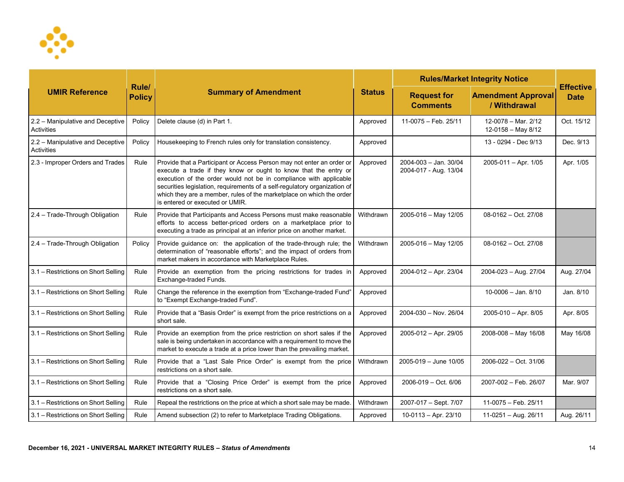

| <b>UMIR Reference</b>                          |                        | <b>Summary of Amendment</b>                                                                                                                                                                                                                                                                                                                                                                           | <b>Status</b> | <b>Rules/Market Integrity Notice</b>           |                                           |                                 |
|------------------------------------------------|------------------------|-------------------------------------------------------------------------------------------------------------------------------------------------------------------------------------------------------------------------------------------------------------------------------------------------------------------------------------------------------------------------------------------------------|---------------|------------------------------------------------|-------------------------------------------|---------------------------------|
|                                                | Rule/<br><b>Policy</b> |                                                                                                                                                                                                                                                                                                                                                                                                       |               | <b>Request for</b><br><b>Comments</b>          | <b>Amendment Approval</b><br>/ Withdrawal | <b>Effective</b><br><b>Date</b> |
| 2.2 - Manipulative and Deceptive<br>Activities | Policy                 | Delete clause (d) in Part 1.                                                                                                                                                                                                                                                                                                                                                                          | Approved      | 11-0075 - Feb. 25/11                           | 12-0078 - Mar. 2/12<br>12-0158 - May 8/12 | Oct. 15/12                      |
| 2.2 - Manipulative and Deceptive<br>Activities | Policy                 | Housekeeping to French rules only for translation consistency.                                                                                                                                                                                                                                                                                                                                        | Approved      |                                                | 13 - 0294 - Dec 9/13                      | Dec. 9/13                       |
| 2.3 - Improper Orders and Trades               | Rule                   | Provide that a Participant or Access Person may not enter an order or<br>execute a trade if they know or ought to know that the entry or<br>execution of the order would not be in compliance with applicable<br>securities legislation, requirements of a self-regulatory organization of<br>which they are a member, rules of the marketplace on which the order<br>is entered or executed or UMIR. | Approved      | 2004-003 - Jan. 30/04<br>2004-017 - Aug. 13/04 | 2005-011 - Apr. 1/05                      | Apr. 1/05                       |
| 2.4 - Trade-Through Obligation                 | Rule                   | Provide that Participants and Access Persons must make reasonable<br>efforts to access better-priced orders on a marketplace prior to<br>executing a trade as principal at an inferior price on another market.                                                                                                                                                                                       | Withdrawn     | 2005-016 - May 12/05                           | 08-0162 - Oct. 27/08                      |                                 |
| 2.4 - Trade-Through Obligation                 | Policy                 | Provide guidance on: the application of the trade-through rule; the<br>determination of "reasonable efforts"; and the impact of orders from<br>market makers in accordance with Marketplace Rules.                                                                                                                                                                                                    | Withdrawn     | 2005-016 - May 12/05                           | 08-0162 - Oct. 27/08                      |                                 |
| 3.1 - Restrictions on Short Selling            | Rule                   | Provide an exemption from the pricing restrictions for trades in<br>Exchange-traded Funds.                                                                                                                                                                                                                                                                                                            | Approved      | 2004-012 - Apr. 23/04                          | 2004-023 - Aug. 27/04                     | Aug. 27/04                      |
| 3.1 - Restrictions on Short Selling            | Rule                   | Change the reference in the exemption from "Exchange-traded Fund"<br>to "Exempt Exchange-traded Fund".                                                                                                                                                                                                                                                                                                | Approved      |                                                | $10-0006 -$ Jan. $8/10$                   | Jan. 8/10                       |
| 3.1 - Restrictions on Short Selling            | Rule                   | Provide that a "Basis Order" is exempt from the price restrictions on a<br>short sale.                                                                                                                                                                                                                                                                                                                | Approved      | 2004-030 - Nov. 26/04                          | 2005-010 - Apr. 8/05                      | Apr. 8/05                       |
| 3.1 - Restrictions on Short Selling            | Rule                   | Provide an exemption from the price restriction on short sales if the<br>sale is being undertaken in accordance with a requirement to move the<br>market to execute a trade at a price lower than the prevailing market.                                                                                                                                                                              | Approved      | 2005-012 - Apr. 29/05                          | 2008-008 - May 16/08                      | May 16/08                       |
| 3.1 - Restrictions on Short Selling            | Rule                   | Provide that a "Last Sale Price Order" is exempt from the price<br>restrictions on a short sale.                                                                                                                                                                                                                                                                                                      | Withdrawn     | $2005 - 019 -$ June 10/05                      | 2006-022 - Oct. 31/06                     |                                 |
| 3.1 - Restrictions on Short Selling            | Rule                   | Provide that a "Closing Price Order" is exempt from the price<br>restrictions on a short sale.                                                                                                                                                                                                                                                                                                        | Approved      | $2006 - 019 - Oct. 6/06$                       | 2007-002 - Feb. 26/07                     | Mar. 9/07                       |
| 3.1 - Restrictions on Short Selling            | Rule                   | Repeal the restrictions on the price at which a short sale may be made.                                                                                                                                                                                                                                                                                                                               | Withdrawn     | 2007-017 - Sept. 7/07                          | 11-0075 - Feb. 25/11                      |                                 |
| 3.1 - Restrictions on Short Selling            | Rule                   | Amend subsection (2) to refer to Marketplace Trading Obligations.                                                                                                                                                                                                                                                                                                                                     | Approved      | $10-0113 - Apr. 23/10$                         | $11-0251 - Aug. 26/11$                    | Aug. 26/11                      |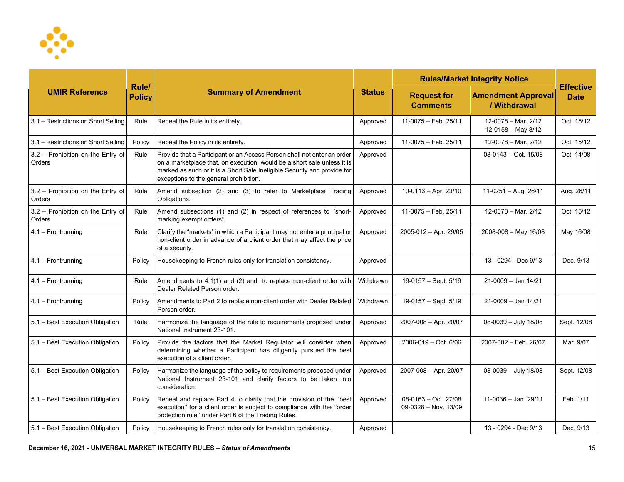

| <b>UMIR Reference</b>                       |                        | <b>Summary of Amendment</b>                                                                                                                                                                                                                                              | <b>Status</b> | <b>Rules/Market Integrity Notice</b>           |                                             |                                 |
|---------------------------------------------|------------------------|--------------------------------------------------------------------------------------------------------------------------------------------------------------------------------------------------------------------------------------------------------------------------|---------------|------------------------------------------------|---------------------------------------------|---------------------------------|
|                                             | Rule/<br><b>Policy</b> |                                                                                                                                                                                                                                                                          |               | <b>Request for</b><br><b>Comments</b>          | <b>Amendment Approval</b><br>/ Withdrawal   | <b>Effective</b><br><b>Date</b> |
| 3.1 - Restrictions on Short Selling         | Rule                   | Repeal the Rule in its entirety.                                                                                                                                                                                                                                         | Approved      | 11-0075 - Feb. 25/11                           | 12-0078 - Mar. 2/12<br>$12-0158 - May 8/12$ | Oct. 15/12                      |
| 3.1 – Restrictions on Short Selling         | Policy                 | Repeal the Policy in its entirety.                                                                                                                                                                                                                                       | Approved      | 11-0075 - Feb. 25/11                           | 12-0078 - Mar. 2/12                         | Oct. 15/12                      |
| 3.2 - Prohibition on the Entry of<br>Orders | Rule                   | Provide that a Participant or an Access Person shall not enter an order<br>on a marketplace that, on execution, would be a short sale unless it is<br>marked as such or it is a Short Sale Ineligible Security and provide for<br>exceptions to the general prohibition. | Approved      |                                                | $08-0143 - Oct. 15/08$                      | Oct. 14/08                      |
| 3.2 - Prohibition on the Entry of<br>Orders | Rule                   | Amend subsection (2) and (3) to refer to Marketplace Trading<br>Obligations.                                                                                                                                                                                             | Approved      | $10-0113 - Apr. 23/10$                         | $11-0251 - Aug. 26/11$                      | Aug. 26/11                      |
| 3.2 - Prohibition on the Entry of<br>Orders | Rule                   | Amend subsections (1) and (2) in respect of references to "short-<br>marking exempt orders".                                                                                                                                                                             | Approved      | 11-0075 - Feb. 25/11                           | 12-0078 - Mar. 2/12                         | Oct. 15/12                      |
| 4.1 - Frontrunning                          | Rule                   | Clarify the "markets" in which a Participant may not enter a principal or<br>non-client order in advance of a client order that may affect the price<br>of a security.                                                                                                   | Approved      | 2005-012 - Apr. 29/05                          | $2008 - 008 - May 16/08$                    | May 16/08                       |
| 4.1 - Frontrunning                          | Policy                 | Housekeeping to French rules only for translation consistency.                                                                                                                                                                                                           | Approved      |                                                | 13 - 0294 - Dec 9/13                        | Dec. 9/13                       |
| $4.1 -$ Frontrunning                        | Rule                   | Amendments to 4.1(1) and (2) and to replace non-client order with<br>Dealer Related Person order.                                                                                                                                                                        | Withdrawn     | 19-0157 - Sept. 5/19                           | 21-0009 - Jan 14/21                         |                                 |
| 4.1 - Frontrunning                          | Policy                 | Amendments to Part 2 to replace non-client order with Dealer Related<br>Person order.                                                                                                                                                                                    | Withdrawn     | 19-0157 - Sept. 5/19                           | 21-0009 - Jan 14/21                         |                                 |
| 5.1 - Best Execution Obligation             | Rule                   | Harmonize the language of the rule to requirements proposed under<br>National Instrument 23-101.                                                                                                                                                                         | Approved      | 2007-008 - Apr. 20/07                          | 08-0039 - July 18/08                        | Sept. 12/08                     |
| 5.1 - Best Execution Obligation             | Policy                 | Provide the factors that the Market Regulator will consider when<br>determining whether a Participant has diligently pursued the best<br>execution of a client order.                                                                                                    | Approved      | 2006-019 - Oct. 6/06                           | 2007-002 - Feb. 26/07                       | Mar. 9/07                       |
| 5.1 - Best Execution Obligation             | Policy                 | Harmonize the language of the policy to requirements proposed under<br>National Instrument 23-101 and clarify factors to be taken into<br>consideration.                                                                                                                 | Approved      | 2007-008 - Apr. 20/07                          | 08-0039 - July 18/08                        | Sept. 12/08                     |
| 5.1 - Best Execution Obligation             | Policy                 | Repeal and replace Part 4 to clarify that the provision of the "best<br>execution" for a client order is subject to compliance with the "order<br>protection rule" under Part 6 of the Trading Rules.                                                                    | Approved      | $08-0163 - Oct. 27/08$<br>09-0328 - Nov. 13/09 | $11-0036 - Jan. 29/11$                      | Feb. 1/11                       |
| 5.1 - Best Execution Obligation             | Policy                 | Housekeeping to French rules only for translation consistency.                                                                                                                                                                                                           | Approved      |                                                | 13 - 0294 - Dec 9/13                        | Dec. 9/13                       |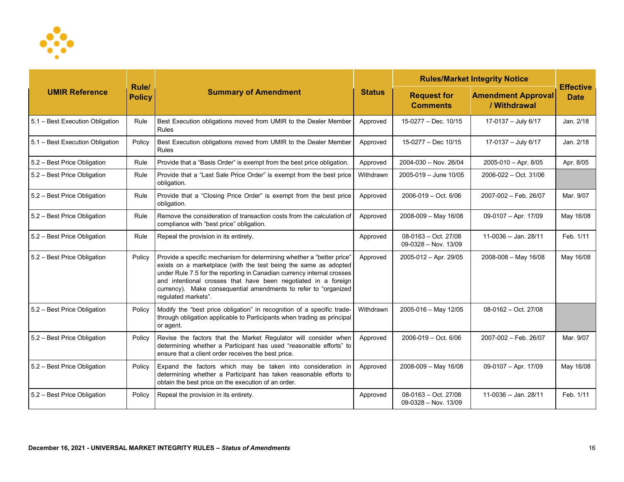

| <b>UMIR Reference</b>           |                        | <b>Summary of Amendment</b>                                                                                                                                                                                                                                                                                                                                                     | <b>Status</b> | <b>Rules/Market Integrity Notice</b>           |                                           |                                 |
|---------------------------------|------------------------|---------------------------------------------------------------------------------------------------------------------------------------------------------------------------------------------------------------------------------------------------------------------------------------------------------------------------------------------------------------------------------|---------------|------------------------------------------------|-------------------------------------------|---------------------------------|
|                                 | Rule/<br><b>Policy</b> |                                                                                                                                                                                                                                                                                                                                                                                 |               | <b>Request for</b><br><b>Comments</b>          | <b>Amendment Approval</b><br>/ Withdrawal | <b>Effective</b><br><b>Date</b> |
| 5.1 - Best Execution Obligation | Rule                   | Best Execution obligations moved from UMIR to the Dealer Member<br><b>Rules</b>                                                                                                                                                                                                                                                                                                 | Approved      | 15-0277 - Dec. 10/15                           | 17-0137 - July 6/17                       | Jan. 2/18                       |
| 5.1 - Best Execution Obligation | Policy                 | Best Execution obligations moved from UMIR to the Dealer Member<br><b>Rules</b>                                                                                                                                                                                                                                                                                                 | Approved      | 15-0277 - Dec 10/15                            | 17-0137 - July 6/17                       | Jan. 2/18                       |
| 5.2 - Best Price Obligation     | Rule                   | Provide that a "Basis Order" is exempt from the best price obligation.                                                                                                                                                                                                                                                                                                          | Approved      | 2004-030 - Nov. 26/04                          | $2005 - 010 - Apr. 8/05$                  | Apr. 8/05                       |
| 5.2 - Best Price Obligation     | Rule                   | Provide that a "Last Sale Price Order" is exempt from the best price<br>obligation.                                                                                                                                                                                                                                                                                             | Withdrawn     | 2005-019 - June 10/05                          | 2006-022 - Oct. 31/06                     |                                 |
| 5.2 - Best Price Obligation     | Rule                   | Provide that a "Closing Price Order" is exempt from the best price<br>obligation.                                                                                                                                                                                                                                                                                               | Approved      | 2006-019 - Oct. 6/06                           | 2007-002 - Feb. 26/07                     | Mar. 9/07                       |
| 5.2 - Best Price Obligation     | Rule                   | Remove the consideration of transaction costs from the calculation of<br>compliance with "best price" obligation.                                                                                                                                                                                                                                                               | Approved      | 2008-009 - May 16/08                           | 09-0107 - Apr. 17/09                      | May 16/08                       |
| 5.2 - Best Price Obligation     | Rule                   | Repeal the provision in its entirety.                                                                                                                                                                                                                                                                                                                                           | Approved      | 08-0163 - Oct. 27/08<br>$09-0328 - Nov. 13/09$ | 11-0036 -- Jan. 28/11                     | Feb. 1/11                       |
| 5.2 - Best Price Obligation     | Policy                 | Provide a specific mechanism for determining whether a "better price"<br>exists on a marketplace (with the test being the same as adopted<br>under Rule 7.5 for the reporting in Canadian currency internal crosses<br>and intentional crosses that have been negotiated in a foreign<br>currency). Make consequential amendments to refer to "organized<br>regulated markets". | Approved      | 2005-012 - Apr. 29/05                          | 2008-008 - May 16/08                      | May 16/08                       |
| 5.2 - Best Price Obligation     | Policy                 | Modify the "best price obligation" in recognition of a specific trade-<br>through obligation applicable to Participants when trading as principal<br>or agent.                                                                                                                                                                                                                  | Withdrawn     | 2005-016 - May 12/05                           | 08-0162 - Oct. 27/08                      |                                 |
| 5.2 - Best Price Obligation     | Policy                 | Revise the factors that the Market Regulator will consider when<br>determining whether a Participant has used "reasonable efforts" to<br>ensure that a client order receives the best price.                                                                                                                                                                                    | Approved      | 2006-019 - Oct. 6/06                           | 2007-002 - Feb. 26/07                     | Mar. 9/07                       |
| 5.2 - Best Price Obligation     | Policy                 | Expand the factors which may be taken into consideration in<br>determining whether a Participant has taken reasonable efforts to<br>obtain the best price on the execution of an order.                                                                                                                                                                                         | Approved      | 2008-009 - May 16/08                           | 09-0107 - Apr. 17/09                      | May 16/08                       |
| 5.2 - Best Price Obligation     | Policy                 | Repeal the provision in its entirety.                                                                                                                                                                                                                                                                                                                                           | Approved      | $08-0163 - Oct. 27/08$<br>09-0328 - Nov. 13/09 | 11-0036 -- Jan. 28/11                     | Feb. 1/11                       |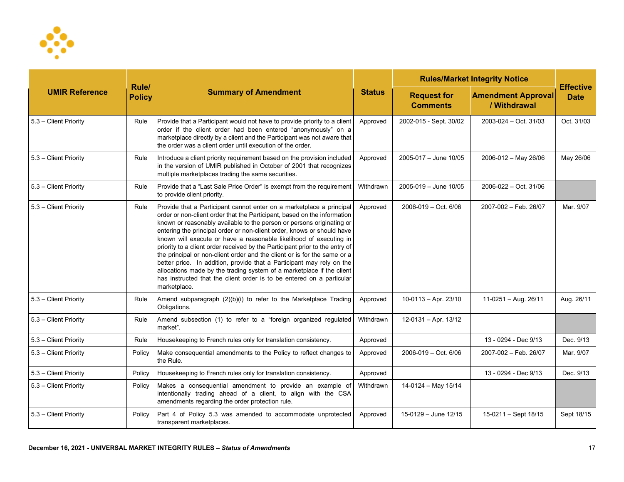

| <b>UMIR Reference</b> |                        | <b>Summary of Amendment</b>                                                                                                                                                                                                                                                                                                                                                                                                                                                                                                                                                                                                                                                                                                                                                      | <b>Status</b> | <b>Rules/Market Integrity Notice</b>  |                                           |                                 |
|-----------------------|------------------------|----------------------------------------------------------------------------------------------------------------------------------------------------------------------------------------------------------------------------------------------------------------------------------------------------------------------------------------------------------------------------------------------------------------------------------------------------------------------------------------------------------------------------------------------------------------------------------------------------------------------------------------------------------------------------------------------------------------------------------------------------------------------------------|---------------|---------------------------------------|-------------------------------------------|---------------------------------|
|                       | Rule/<br><b>Policy</b> |                                                                                                                                                                                                                                                                                                                                                                                                                                                                                                                                                                                                                                                                                                                                                                                  |               | <b>Request for</b><br><b>Comments</b> | <b>Amendment Approval</b><br>/ Withdrawal | <b>Effective</b><br><b>Date</b> |
| 5.3 - Client Priority | Rule                   | Provide that a Participant would not have to provide priority to a client<br>order if the client order had been entered "anonymously" on a<br>marketplace directly by a client and the Participant was not aware that<br>the order was a client order until execution of the order.                                                                                                                                                                                                                                                                                                                                                                                                                                                                                              | Approved      | 2002-015 - Sept. 30/02                | $2003 - 024 - Oct. 31/03$                 | Oct. 31/03                      |
| 5.3 - Client Priority | Rule                   | Introduce a client priority requirement based on the provision included<br>in the version of UMIR published in October of 2001 that recognizes<br>multiple marketplaces trading the same securities.                                                                                                                                                                                                                                                                                                                                                                                                                                                                                                                                                                             | Approved      | 2005-017 - June 10/05                 | 2006-012 - May 26/06                      | May 26/06                       |
| 5.3 - Client Priority | Rule                   | Provide that a "Last Sale Price Order" is exempt from the requirement<br>to provide client priority.                                                                                                                                                                                                                                                                                                                                                                                                                                                                                                                                                                                                                                                                             | Withdrawn     | 2005-019 - June 10/05                 | 2006-022 - Oct. 31/06                     |                                 |
| 5.3 - Client Priority | Rule                   | Provide that a Participant cannot enter on a marketplace a principal<br>order or non-client order that the Participant, based on the information<br>known or reasonably available to the person or persons originating or<br>entering the principal order or non-client order, knows or should have<br>known will execute or have a reasonable likelihood of executing in<br>priority to a client order received by the Participant prior to the entry of<br>the principal or non-client order and the client or is for the same or a<br>better price. In addition, provide that a Participant may rely on the<br>allocations made by the trading system of a marketplace if the client<br>has instructed that the client order is to be entered on a particular<br>marketplace. | Approved      | $2006 - 019 - Oct. 6/06$              | 2007-002 - Feb. 26/07                     | Mar. 9/07                       |
| 5.3 - Client Priority | Rule                   | Amend subparagraph (2)(b)(i) to refer to the Marketplace Trading<br>Obligations.                                                                                                                                                                                                                                                                                                                                                                                                                                                                                                                                                                                                                                                                                                 | Approved      | $10-0113 - Apr. 23/10$                | $11-0251 - Aug. 26/11$                    | Aug. 26/11                      |
| 5.3 - Client Priority | Rule                   | Amend subsection (1) to refer to a "foreign organized regulated<br>market".                                                                                                                                                                                                                                                                                                                                                                                                                                                                                                                                                                                                                                                                                                      | Withdrawn     | 12-0131 - Apr. 13/12                  |                                           |                                 |
| 5.3 - Client Priority | Rule                   | Housekeeping to French rules only for translation consistency.                                                                                                                                                                                                                                                                                                                                                                                                                                                                                                                                                                                                                                                                                                                   | Approved      |                                       | 13 - 0294 - Dec 9/13                      | Dec. 9/13                       |
| 5.3 - Client Priority | Policy                 | Make consequential amendments to the Policy to reflect changes to<br>the Rule.                                                                                                                                                                                                                                                                                                                                                                                                                                                                                                                                                                                                                                                                                                   | Approved      | 2006-019 - Oct. 6/06                  | 2007-002 - Feb. 26/07                     | Mar. 9/07                       |
| 5.3 - Client Priority | Policy                 | Housekeeping to French rules only for translation consistency.                                                                                                                                                                                                                                                                                                                                                                                                                                                                                                                                                                                                                                                                                                                   | Approved      |                                       | 13 - 0294 - Dec 9/13                      | Dec. 9/13                       |
| 5.3 - Client Priority | Policy                 | Makes a consequential amendment to provide an example of<br>intentionally trading ahead of a client, to align with the CSA<br>amendments regarding the order protection rule.                                                                                                                                                                                                                                                                                                                                                                                                                                                                                                                                                                                                    | Withdrawn     | 14-0124 - May 15/14                   |                                           |                                 |
| 5.3 - Client Priority | Policy                 | Part 4 of Policy 5.3 was amended to accommodate unprotected<br>transparent marketplaces.                                                                                                                                                                                                                                                                                                                                                                                                                                                                                                                                                                                                                                                                                         | Approved      | 15-0129 - June 12/15                  | 15-0211 - Sept 18/15                      | Sept 18/15                      |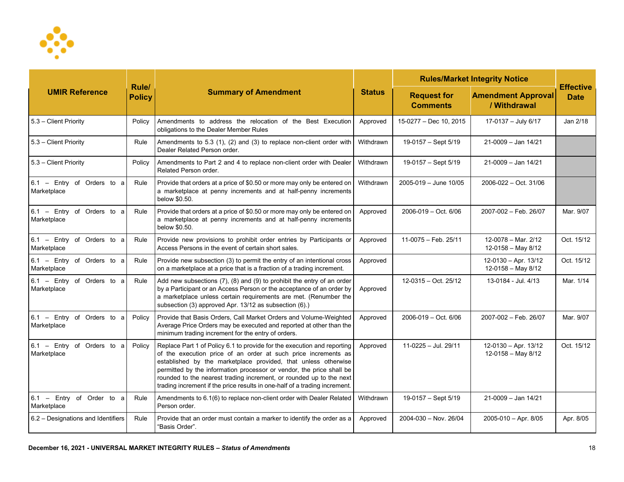

| <b>UMIR Reference</b>                       |                        | <b>Summary of Amendment</b>                                                                                                                                                                                                                                                                                                                                                                                                              | <b>Status</b> | <b>Rules/Market Integrity Notice</b>  | <b>Effective</b>                             |             |
|---------------------------------------------|------------------------|------------------------------------------------------------------------------------------------------------------------------------------------------------------------------------------------------------------------------------------------------------------------------------------------------------------------------------------------------------------------------------------------------------------------------------------|---------------|---------------------------------------|----------------------------------------------|-------------|
|                                             | Rule/<br><b>Policy</b> |                                                                                                                                                                                                                                                                                                                                                                                                                                          |               | <b>Request for</b><br><b>Comments</b> | <b>Amendment Approval</b><br>/ Withdrawal    | <b>Date</b> |
| 5.3 - Client Priority                       | Policy                 | Amendments to address the relocation of the Best Execution<br>obligations to the Dealer Member Rules                                                                                                                                                                                                                                                                                                                                     | Approved      | 15-0277 - Dec 10, 2015                | 17-0137 - July 6/17                          | Jan 2/18    |
| 5.3 - Client Priority                       | Rule                   | Amendments to 5.3 (1), (2) and (3) to replace non-client order with<br>Dealer Related Person order.                                                                                                                                                                                                                                                                                                                                      | Withdrawn     | 19-0157 - Sept 5/19                   | $21 - 0009 -$ Jan $14/21$                    |             |
| 5.3 - Client Priority                       | Policy                 | Amendments to Part 2 and 4 to replace non-client order with Dealer<br>Related Person order.                                                                                                                                                                                                                                                                                                                                              | Withdrawn     | 19-0157 - Sept 5/19                   | 21-0009 - Jan 14/21                          |             |
| $6.1$ - Entry of Orders to a<br>Marketplace | Rule                   | Provide that orders at a price of \$0.50 or more may only be entered on<br>a marketplace at penny increments and at half-penny increments<br>below \$0.50.                                                                                                                                                                                                                                                                               | Withdrawn     | $2005 - 019 -$ June 10/05             | 2006-022 - Oct. 31/06                        |             |
| $6.1$ - Entry of Orders to a<br>Marketplace | Rule                   | Provide that orders at a price of \$0.50 or more may only be entered on<br>a marketplace at penny increments and at half-penny increments<br>below \$0.50.                                                                                                                                                                                                                                                                               | Approved      | $2006 - 019 - Oct. 6/06$              | 2007-002 - Feb. 26/07                        | Mar. 9/07   |
| $6.1$ - Entry of Orders to a<br>Marketplace | Rule                   | Provide new provisions to prohibit order entries by Participants or<br>Access Persons in the event of certain short sales.                                                                                                                                                                                                                                                                                                               | Approved      | 11-0075 - Feb. 25/11                  | 12-0078 - Mar. 2/12<br>12-0158 - May 8/12    | Oct. 15/12  |
| 6.1 - Entry of Orders to a<br>Marketplace   | Rule                   | Provide new subsection (3) to permit the entry of an intentional cross<br>on a marketplace at a price that is a fraction of a trading increment.                                                                                                                                                                                                                                                                                         | Approved      |                                       | $12-0130 - Apr. 13/12$<br>12-0158 - May 8/12 | Oct. 15/12  |
| 6.1 - Entry of Orders to a<br>Marketplace   | Rule                   | Add new subsections $(7)$ , $(8)$ and $(9)$ to prohibit the entry of an order<br>by a Participant or an Access Person or the acceptance of an order by<br>a marketplace unless certain requirements are met. (Renumber the<br>subsection (3) approved Apr. 13/12 as subsection (6).)                                                                                                                                                     | Approved      | 12-0315 - Oct. 25/12                  | 13-0184 - Jul. 4/13                          | Mar. 1/14   |
| $6.1$ - Entry of Orders to a<br>Marketplace | Policy                 | Provide that Basis Orders, Call Market Orders and Volume-Weighted<br>Average Price Orders may be executed and reported at other than the<br>minimum trading increment for the entry of orders.                                                                                                                                                                                                                                           | Approved      | $2006 - 019 - Oct. 6/06$              | 2007-002 - Feb. 26/07                        | Mar. 9/07   |
| 6.1 - Entry of Orders to a<br>Marketplace   | Policy                 | Replace Part 1 of Policy 6.1 to provide for the execution and reporting<br>of the execution price of an order at such price increments as<br>established by the marketplace provided, that unless otherwise<br>permitted by the information processor or vendor, the price shall be<br>rounded to the nearest trading increment, or rounded up to the next<br>trading increment if the price results in one-half of a trading increment. | Approved      | 11-0225 - Jul. 29/11                  | 12-0130 - Apr. 13/12<br>12-0158 - May 8/12   | Oct. 15/12  |
| 6.1 - Entry of Order to a<br>Marketplace    | Rule                   | Amendments to 6.1(6) to replace non-client order with Dealer Related<br>Person order.                                                                                                                                                                                                                                                                                                                                                    | Withdrawn     | 19-0157 - Sept 5/19                   | $21 - 0009 -$ Jan $14/21$                    |             |
| 6.2 - Designations and Identifiers          | Rule                   | Provide that an order must contain a marker to identify the order as a<br>"Basis Order".                                                                                                                                                                                                                                                                                                                                                 | Approved      | $2004 - 030 - Nov. 26/04$             | 2005-010 - Apr. 8/05                         | Apr. 8/05   |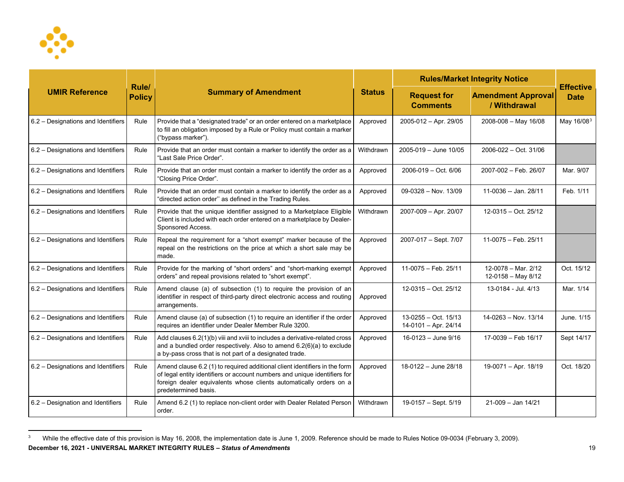<span id="page-18-0"></span>

| <b>UMIR Reference</b>              |                        | <b>Summary of Amendment</b>                                                                                                                                                                                                                           | <b>Status</b> | <b>Rules/Market Integrity Notice</b>           |                                           |                                 |
|------------------------------------|------------------------|-------------------------------------------------------------------------------------------------------------------------------------------------------------------------------------------------------------------------------------------------------|---------------|------------------------------------------------|-------------------------------------------|---------------------------------|
|                                    | Rule/<br><b>Policy</b> |                                                                                                                                                                                                                                                       |               | <b>Request for</b><br><b>Comments</b>          | <b>Amendment Approval</b><br>/ Withdrawal | <b>Effective</b><br><b>Date</b> |
| 6.2 - Designations and Identifiers | Rule                   | Provide that a "designated trade" or an order entered on a marketplace<br>to fill an obligation imposed by a Rule or Policy must contain a marker<br>("bypass marker").                                                                               | Approved      | 2005-012 - Apr. 29/05                          | 2008-008 - May 16/08                      | May 16/08 <sup>3</sup>          |
| 6.2 - Designations and Identifiers | Rule                   | Provide that an order must contain a marker to identify the order as a<br>'Last Sale Price Order".                                                                                                                                                    | Withdrawn     | 2005-019 - June 10/05                          | 2006-022 - Oct. 31/06                     |                                 |
| 6.2 - Designations and Identifiers | Rule                   | Provide that an order must contain a marker to identify the order as a<br>"Closing Price Order".                                                                                                                                                      | Approved      | $2006 - 019 - Oct. 6/06$                       | 2007-002 - Feb. 26/07                     | Mar. 9/07                       |
| 6.2 - Designations and Identifiers | Rule                   | Provide that an order must contain a marker to identify the order as a<br>"directed action order" as defined in the Trading Rules.                                                                                                                    | Approved      | $09-0328 - Nov. 13/09$                         | 11-0036 -- Jan. 28/11                     | Feb. 1/11                       |
| 6.2 - Designations and Identifiers | Rule                   | Provide that the unique identifier assigned to a Marketplace Eligible<br>Client is included with each order entered on a marketplace by Dealer-<br>Sponsored Access.                                                                                  | Withdrawn     | 2007-009 - Apr. 20/07                          | 12-0315 - Oct. 25/12                      |                                 |
| 6.2 - Designations and Identifiers | Rule                   | Repeal the requirement for a "short exempt" marker because of the<br>repeal on the restrictions on the price at which a short sale may be<br>made.                                                                                                    | Approved      | 2007-017 - Sept. 7/07                          | 11-0075 - Feb. 25/11                      |                                 |
| 6.2 - Designations and Identifiers | Rule                   | Provide for the marking of "short orders" and "short-marking exempt<br>orders" and repeal provisions related to "short exempt".                                                                                                                       | Approved      | 11-0075 - Feb. 25/11                           | 12-0078 - Mar. 2/12<br>12-0158 - May 8/12 | Oct. 15/12                      |
| 6.2 - Designations and Identifiers | Rule                   | Amend clause (a) of subsection (1) to require the provision of an<br>identifier in respect of third-party direct electronic access and routing<br>arrangements.                                                                                       | Approved      | $12-0315 - Oct. 25/12$                         | 13-0184 - Jul. 4/13                       | Mar. 1/14                       |
| 6.2 - Designations and Identifiers | Rule                   | Amend clause (a) of subsection (1) to require an identifier if the order<br>requires an identifier under Dealer Member Rule 3200.                                                                                                                     | Approved      | $13-0255 - Oct. 15/13$<br>14-0101 - Apr. 24/14 | 14-0263 - Nov. 13/14                      | June, 1/15                      |
| 6.2 - Designations and Identifiers | Rule                   | Add clauses 6.2(1)(b) viii and xviii to includes a derivative-related cross<br>and a bundled order respectively. Also to amend 6.2(6)(a) to exclude<br>a by-pass cross that is not part of a designated trade.                                        | Approved      | 16-0123 - June 9/16                            | 17-0039 - Feb 16/17                       | Sept 14/17                      |
| 6.2 - Designations and Identifiers | Rule                   | Amend clause 6.2 (1) to required additional client identifiers in the form<br>of legal entity identifiers or account numbers and unique identifiers for<br>foreign dealer equivalents whose clients automatically orders on a<br>predetermined basis. | Approved      | 18-0122 - June 28/18                           | 19-0071 - Apr. 18/19                      | Oct. 18/20                      |
| 6.2 – Designation and Identifiers  | Rule                   | Amend 6.2 (1) to replace non-client order with Dealer Related Person<br>order.                                                                                                                                                                        | Withdrawn     | 19-0157 - Sept. 5/19                           | $21-009 - Jan 14/21$                      |                                 |

**December 16, 2021 - UNIVERSAL MARKET INTEGRITY RULES – Status of Amendments** 19 <sup>3</sup> While the effective date of this provision is May 16, 2008, the implementation date is June 1, 2009. Reference should be made to Rules Notice 09-0034 (February 3, 2009).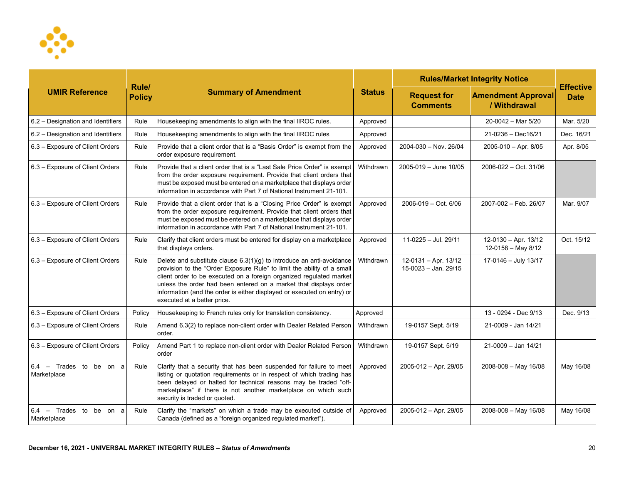

| <b>UMIR Reference</b>                       |                        | <b>Summary of Amendment</b>                                                                                                                                                                                                                                                                                                                                                                             |               | <b>Rules/Market Integrity Notice</b>         |                                            |                                 |
|---------------------------------------------|------------------------|---------------------------------------------------------------------------------------------------------------------------------------------------------------------------------------------------------------------------------------------------------------------------------------------------------------------------------------------------------------------------------------------------------|---------------|----------------------------------------------|--------------------------------------------|---------------------------------|
|                                             | Rule/<br><b>Policy</b> |                                                                                                                                                                                                                                                                                                                                                                                                         | <b>Status</b> | <b>Request for</b><br><b>Comments</b>        | <b>Amendment Approval</b><br>/ Withdrawal  | <b>Effective</b><br><b>Date</b> |
| 6.2 - Designation and Identifiers           | Rule                   | Housekeeping amendments to align with the final IIROC rules.                                                                                                                                                                                                                                                                                                                                            | Approved      |                                              | $20-0042$ – Mar 5/20                       | Mar. 5/20                       |
| 6.2 - Designation and Identifiers           | Rule                   | Housekeeping amendments to align with the final IIROC rules                                                                                                                                                                                                                                                                                                                                             | Approved      |                                              | 21-0236 - Dec16/21                         | Dec. 16/21                      |
| 6.3 - Exposure of Client Orders             | Rule                   | Provide that a client order that is a "Basis Order" is exempt from the<br>order exposure requirement.                                                                                                                                                                                                                                                                                                   | Approved      | 2004-030 - Nov. 26/04                        | $2005 - 010 - Apr. 8/05$                   | Apr. 8/05                       |
| 6.3 - Exposure of Client Orders             | Rule                   | Provide that a client order that is a "Last Sale Price Order" is exempt<br>from the order exposure requirement. Provide that client orders that<br>must be exposed must be entered on a marketplace that displays order<br>information in accordance with Part 7 of National Instrument 21-101.                                                                                                         | Withdrawn     | 2005-019 - June 10/05                        | 2006-022 - Oct. 31/06                      |                                 |
| 6.3 - Exposure of Client Orders             | Rule                   | Provide that a client order that is a "Closing Price Order" is exempt<br>from the order exposure requirement. Provide that client orders that<br>must be exposed must be entered on a marketplace that displays order<br>information in accordance with Part 7 of National Instrument 21-101.                                                                                                           | Approved      | $2006 - 019 - Oct. 6/06$                     | 2007-002 - Feb. 26/07                      | Mar. 9/07                       |
| 6.3 - Exposure of Client Orders             | Rule                   | Clarify that client orders must be entered for display on a marketplace<br>that displays orders.                                                                                                                                                                                                                                                                                                        | Approved      | 11-0225 - Jul. 29/11                         | 12-0130 - Apr. 13/12<br>12-0158 - May 8/12 | Oct. 15/12                      |
| 6.3 - Exposure of Client Orders             | Rule                   | Delete and substitute clause $6.3(1)(g)$ to introduce an anti-avoidance<br>provision to the "Order Exposure Rule" to limit the ability of a small<br>client order to be executed on a foreign organized regulated market<br>unless the order had been entered on a market that displays order<br>information (and the order is either displayed or executed on entry) or<br>executed at a better price. | Withdrawn     | 12-0131 - Apr. 13/12<br>15-0023 - Jan. 29/15 | 17-0146 - July 13/17                       |                                 |
| 6.3 - Exposure of Client Orders             | Policy                 | Housekeeping to French rules only for translation consistency.                                                                                                                                                                                                                                                                                                                                          | Approved      |                                              | 13 - 0294 - Dec 9/13                       | Dec. 9/13                       |
| 6.3 - Exposure of Client Orders             | Rule                   | Amend 6.3(2) to replace non-client order with Dealer Related Person<br>order.                                                                                                                                                                                                                                                                                                                           | Withdrawn     | 19-0157 Sept. 5/19                           | 21-0009 - Jan 14/21                        |                                 |
| 6.3 - Exposure of Client Orders             | Policy                 | Amend Part 1 to replace non-client order with Dealer Related Person<br>order                                                                                                                                                                                                                                                                                                                            | Withdrawn     | 19-0157 Sept. 5/19                           | 21-0009 - Jan 14/21                        |                                 |
| $6.4$ - Trades to be on a<br>Marketplace    | Rule                   | Clarify that a security that has been suspended for failure to meet<br>listing or quotation requirements or in respect of which trading has<br>been delayed or halted for technical reasons may be traded "off-<br>marketplace" if there is not another marketplace on which such<br>security is traded or quoted.                                                                                      | Approved      | 2005-012 - Apr. 29/05                        | 2008-008 - May 16/08                       | May 16/08                       |
| $6.4$ - Trades to<br>be on a<br>Marketplace | Rule                   | Clarify the "markets" on which a trade may be executed outside of<br>Canada (defined as a "foreign organized regulated market").                                                                                                                                                                                                                                                                        | Approved      | 2005-012 - Apr. 29/05                        | 2008-008 - May 16/08                       | May 16/08                       |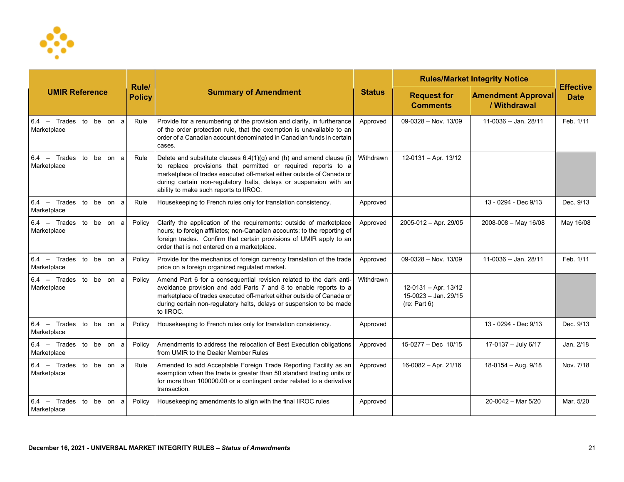

|                                          |                        |                                                                                                                                                                                                                                                                                                                                 |               |                                                                | <b>Rules/Market Integrity Notice</b>      | <b>Effective</b><br><b>Date</b> |
|------------------------------------------|------------------------|---------------------------------------------------------------------------------------------------------------------------------------------------------------------------------------------------------------------------------------------------------------------------------------------------------------------------------|---------------|----------------------------------------------------------------|-------------------------------------------|---------------------------------|
| <b>UMIR Reference</b>                    | Rule/<br><b>Policy</b> | <b>Summary of Amendment</b>                                                                                                                                                                                                                                                                                                     | <b>Status</b> | <b>Request for</b><br><b>Comments</b>                          | <b>Amendment Approval</b><br>/ Withdrawal |                                 |
| $6.4$ - Trades to be on a<br>Marketplace | Rule                   | Provide for a renumbering of the provision and clarify, in furtherance<br>of the order protection rule, that the exemption is unavailable to an<br>order of a Canadian account denominated in Canadian funds in certain<br>cases.                                                                                               | Approved      | $09-0328 - Nov. 13/09$                                         | 11-0036 -- Jan. 28/11                     | Feb. 1/11                       |
| $6.4$ - Trades to be on a<br>Marketplace | Rule                   | Delete and substitute clauses $6.4(1)(g)$ and (h) and amend clause (i)<br>to replace provisions that permitted or required reports to a<br>marketplace of trades executed off-market either outside of Canada or<br>during certain non-regulatory halts, delays or suspension with an<br>ability to make such reports to IIROC. | Withdrawn     | $12-0131 - Apr. 13/12$                                         |                                           |                                 |
| $6.4$ - Trades to be on a<br>Marketplace | Rule                   | Housekeeping to French rules only for translation consistency.                                                                                                                                                                                                                                                                  | Approved      |                                                                | 13 - 0294 - Dec 9/13                      | Dec. 9/13                       |
| $6.4$ - Trades to be on a<br>Marketplace | Policy                 | Clarify the application of the requirements: outside of marketplace<br>hours; to foreign affiliates; non-Canadian accounts; to the reporting of<br>foreign trades. Confirm that certain provisions of UMIR apply to an<br>order that is not entered on a marketplace.                                                           | Approved      | 2005-012 - Apr. 29/05                                          | $2008 - 008 - May 16/08$                  | May 16/08                       |
| $6.4$ - Trades to be on a<br>Marketplace | Policy                 | Provide for the mechanics of foreign currency translation of the trade<br>price on a foreign organized regulated market.                                                                                                                                                                                                        | Approved      | 09-0328 - Nov. 13/09                                           | 11-0036 -- Jan. 28/11                     | Feb. 1/11                       |
| $6.4$ - Trades to be on a<br>Marketplace | Policy                 | Amend Part 6 for a consequential revision related to the dark anti-<br>avoidance provision and add Parts 7 and 8 to enable reports to a<br>marketplace of trades executed off-market either outside of Canada or<br>during certain non-regulatory halts, delays or suspension to be made<br>to IIROC.                           | Withdrawn     | $12-0131 - Apr. 13/12$<br>15-0023 - Jan. 29/15<br>(re: Part 6) |                                           |                                 |
| $6.4$ - Trades to be on a<br>Marketplace | Policy                 | Housekeeping to French rules only for translation consistency.                                                                                                                                                                                                                                                                  | Approved      |                                                                | 13 - 0294 - Dec 9/13                      | Dec. 9/13                       |
| $6.4$ - Trades to be on a<br>Marketplace | Policy                 | Amendments to address the relocation of Best Execution obligations<br>from UMIR to the Dealer Member Rules                                                                                                                                                                                                                      | Approved      | 15-0277 - Dec 10/15                                            | 17-0137 - July 6/17                       | Jan. 2/18                       |
| $6.4$ - Trades to be on a<br>Marketplace | Rule                   | Amended to add Acceptable Foreign Trade Reporting Facility as an<br>exemption when the trade is greater than 50 standard trading units or<br>for more than 100000.00 or a contingent order related to a derivative<br>transaction.                                                                                              | Approved      | $16-0082 - Apr. 21/16$                                         | 18-0154 - Aug. 9/18                       | Nov. 7/18                       |
| $6.4$ - Trades to be on a<br>Marketplace | Policy                 | Housekeeping amendments to align with the final IIROC rules                                                                                                                                                                                                                                                                     | Approved      |                                                                | 20-0042 - Mar 5/20                        | Mar. 5/20                       |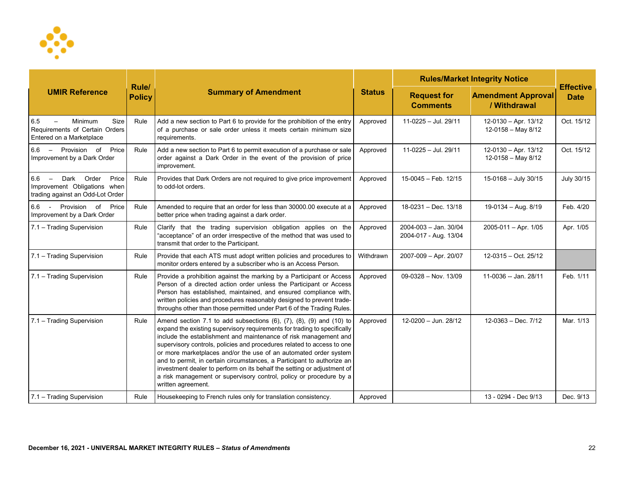

| <b>UMIR Reference</b>                                                                         |                        | <b>Summary of Amendment</b>                                                                                                                                                                                                                                                                                                                                                                                                                                                                                                                                                                                                     | <b>Status</b> | <b>Rules/Market Integrity Notice</b>           | <b>Effective</b>                               |             |
|-----------------------------------------------------------------------------------------------|------------------------|---------------------------------------------------------------------------------------------------------------------------------------------------------------------------------------------------------------------------------------------------------------------------------------------------------------------------------------------------------------------------------------------------------------------------------------------------------------------------------------------------------------------------------------------------------------------------------------------------------------------------------|---------------|------------------------------------------------|------------------------------------------------|-------------|
|                                                                                               | Rule/<br><b>Policy</b> |                                                                                                                                                                                                                                                                                                                                                                                                                                                                                                                                                                                                                                 |               | <b>Request for</b><br><b>Comments</b>          | <b>Amendment Approval</b><br>/ Withdrawal      | <b>Date</b> |
| 6.5<br>Minimum<br>Size<br>Requirements of Certain Orders<br>Entered on a Marketplace          | Rule                   | Add a new section to Part 6 to provide for the prohibition of the entry<br>of a purchase or sale order unless it meets certain minimum size<br>requirements.                                                                                                                                                                                                                                                                                                                                                                                                                                                                    | Approved      | 11-0225 - Jul. 29/11                           | 12-0130 - Apr. 13/12<br>$12-0158 - May 8/12$   | Oct. 15/12  |
| 6.6 - Provision of<br>Price<br>Improvement by a Dark Order                                    | Rule                   | Add a new section to Part 6 to permit execution of a purchase or sale<br>order against a Dark Order in the event of the provision of price<br>improvement.                                                                                                                                                                                                                                                                                                                                                                                                                                                                      | Approved      | 11-0225 - Jul. 29/11                           | 12-0130 - Apr. 13/12<br>$12 - 0158 -$ May 8/12 | Oct. 15/12  |
| 6.6 - Dark Order<br>Price<br>Improvement Obligations when<br>trading against an Odd-Lot Order | Rule                   | Provides that Dark Orders are not required to give price improvement<br>to odd-lot orders.                                                                                                                                                                                                                                                                                                                                                                                                                                                                                                                                      | Approved      | 15-0045 - Feb. 12/15                           | 15-0168 - July 30/15                           | July 30/15  |
| 6.6 - Provision of<br>Price<br>Improvement by a Dark Order                                    | Rule                   | Amended to require that an order for less than 30000.00 execute at a<br>better price when trading against a dark order.                                                                                                                                                                                                                                                                                                                                                                                                                                                                                                         | Approved      | 18-0231 - Dec. 13/18                           | 19-0134 - Aug. 8/19                            | Feb. 4/20   |
| 7.1 - Trading Supervision                                                                     | Rule                   | Clarify that the trading supervision obligation applies on the<br>"acceptance" of an order irrespective of the method that was used to<br>transmit that order to the Participant.                                                                                                                                                                                                                                                                                                                                                                                                                                               | Approved      | 2004-003 - Jan. 30/04<br>2004-017 - Aug. 13/04 | $2005 - 011 - Apr.$ 1/05                       | Apr. 1/05   |
| 7.1 - Trading Supervision                                                                     | Rule                   | Provide that each ATS must adopt written policies and procedures to<br>monitor orders entered by a subscriber who is an Access Person.                                                                                                                                                                                                                                                                                                                                                                                                                                                                                          | Withdrawn     | 2007-009 - Apr. 20/07                          | $12-0315 - Oct. 25/12$                         |             |
| 7.1 - Trading Supervision                                                                     | Rule                   | Provide a prohibition against the marking by a Participant or Access<br>Person of a directed action order unless the Participant or Access<br>Person has established, maintained, and ensured compliance with,<br>written policies and procedures reasonably designed to prevent trade-<br>throughs other than those permitted under Part 6 of the Trading Rules.                                                                                                                                                                                                                                                               | Approved      | $09-0328 - Nov. 13/09$                         | 11-0036 -- Jan. 28/11                          | Feb. 1/11   |
| 7.1 - Trading Supervision                                                                     | Rule                   | Amend section 7.1 to add subsections $(6)$ , $(7)$ , $(8)$ , $(9)$ and $(10)$ to<br>expand the existing supervisory requirements for trading to specifically<br>include the establishment and maintenance of risk management and<br>supervisory controls, policies and procedures related to access to one<br>or more marketplaces and/or the use of an automated order system<br>and to permit, in certain circumstances, a Participant to authorize an<br>investment dealer to perform on its behalf the setting or adjustment of<br>a risk management or supervisory control, policy or procedure by a<br>written agreement. | Approved      | 12-0200 - Jun. 28/12                           | $12-0363 - Dec.7/12$                           | Mar. 1/13   |
| 7.1 - Trading Supervision                                                                     | Rule                   | Housekeeping to French rules only for translation consistency.                                                                                                                                                                                                                                                                                                                                                                                                                                                                                                                                                                  | Approved      |                                                | 13 - 0294 - Dec 9/13                           | Dec. 9/13   |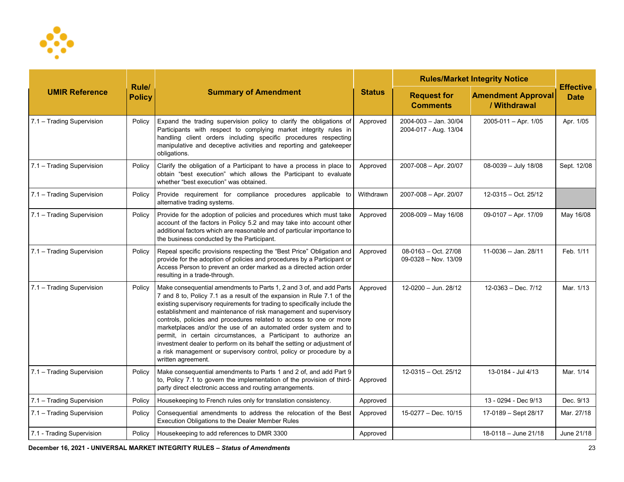

| <b>UMIR Reference</b>     |                        | <b>Summary of Amendment</b>                                                                                                                                                                                                                                                                                                                                                                                                                                                                                                                                                                                                                                                       | <b>Status</b> | <b>Rules/Market Integrity Notice</b>           |                                           |                                 |
|---------------------------|------------------------|-----------------------------------------------------------------------------------------------------------------------------------------------------------------------------------------------------------------------------------------------------------------------------------------------------------------------------------------------------------------------------------------------------------------------------------------------------------------------------------------------------------------------------------------------------------------------------------------------------------------------------------------------------------------------------------|---------------|------------------------------------------------|-------------------------------------------|---------------------------------|
|                           | Rule/<br><b>Policy</b> |                                                                                                                                                                                                                                                                                                                                                                                                                                                                                                                                                                                                                                                                                   |               | <b>Request for</b><br><b>Comments</b>          | <b>Amendment Approval</b><br>/ Withdrawal | <b>Effective</b><br><b>Date</b> |
| 7.1 - Trading Supervision | Policy                 | Expand the trading supervision policy to clarify the obligations of<br>Participants with respect to complying market integrity rules in<br>handling client orders including specific procedures respecting<br>manipulative and deceptive activities and reporting and gatekeeper<br>obligations.                                                                                                                                                                                                                                                                                                                                                                                  | Approved      | 2004-003 - Jan. 30/04<br>2004-017 - Aug. 13/04 | $2005-011 - Apr. 1/05$                    | Apr. 1/05                       |
| 7.1 - Trading Supervision | Policy                 | Clarify the obligation of a Participant to have a process in place to<br>obtain "best execution" which allows the Participant to evaluate<br>whether "best execution" was obtained.                                                                                                                                                                                                                                                                                                                                                                                                                                                                                               | Approved      | 2007-008 - Apr. 20/07                          | 08-0039 - July 18/08                      | Sept. 12/08                     |
| 7.1 - Trading Supervision | Policy                 | Provide requirement for compliance procedures applicable to<br>alternative trading systems.                                                                                                                                                                                                                                                                                                                                                                                                                                                                                                                                                                                       | Withdrawn     | 2007-008 - Apr. 20/07                          | 12-0315 - Oct. 25/12                      |                                 |
| 7.1 - Trading Supervision | Policy                 | Provide for the adoption of policies and procedures which must take<br>account of the factors in Policy 5.2 and may take into account other<br>additional factors which are reasonable and of particular importance to<br>the business conducted by the Participant.                                                                                                                                                                                                                                                                                                                                                                                                              | Approved      | 2008-009 - May 16/08                           | 09-0107 - Apr. 17/09                      | May 16/08                       |
| 7.1 - Trading Supervision | Policy                 | Repeal specific provisions respecting the "Best Price" Obligation and<br>provide for the adoption of policies and procedures by a Participant or<br>Access Person to prevent an order marked as a directed action order<br>resulting in a trade-through.                                                                                                                                                                                                                                                                                                                                                                                                                          | Approved      | $08-0163 - Oct. 27/08$<br>09-0328 - Nov. 13/09 | 11-0036 -- Jan. 28/11                     | Feb. 1/11                       |
| 7.1 - Trading Supervision | Policy                 | Make consequential amendments to Parts 1, 2 and 3 of, and add Parts<br>7 and 8 to, Policy 7.1 as a result of the expansion in Rule 7.1 of the<br>existing supervisory requirements for trading to specifically include the<br>establishment and maintenance of risk management and supervisory<br>controls, policies and procedures related to access to one or more<br>marketplaces and/or the use of an automated order system and to<br>permit, in certain circumstances, a Participant to authorize an<br>investment dealer to perform on its behalf the setting or adjustment of<br>a risk management or supervisory control, policy or procedure by a<br>written agreement. | Approved      | 12-0200 - Jun. 28/12                           | $12-0363 - Dec. 7/12$                     | Mar. 1/13                       |
| 7.1 - Trading Supervision | Policy                 | Make consequential amendments to Parts 1 and 2 of, and add Part 9<br>to, Policy 7.1 to govern the implementation of the provision of third-<br>party direct electronic access and routing arrangements.                                                                                                                                                                                                                                                                                                                                                                                                                                                                           | Approved      | 12-0315 - Oct. 25/12                           | 13-0184 - Jul 4/13                        | Mar. 1/14                       |
| 7.1 - Trading Supervision | Policy                 | Housekeeping to French rules only for translation consistency.                                                                                                                                                                                                                                                                                                                                                                                                                                                                                                                                                                                                                    | Approved      |                                                | 13 - 0294 - Dec 9/13                      | Dec. 9/13                       |
| 7.1 - Trading Supervision | Policy                 | Consequential amendments to address the relocation of the Best<br>Execution Obligations to the Dealer Member Rules                                                                                                                                                                                                                                                                                                                                                                                                                                                                                                                                                                | Approved      | 15-0277 - Dec. 10/15                           | 17-0189 - Sept 28/17                      | Mar. 27/18                      |
| 7.1 - Trading Supervision | Policy                 | Housekeeping to add references to DMR 3300                                                                                                                                                                                                                                                                                                                                                                                                                                                                                                                                                                                                                                        | Approved      |                                                | 18-0118 - June 21/18                      | June 21/18                      |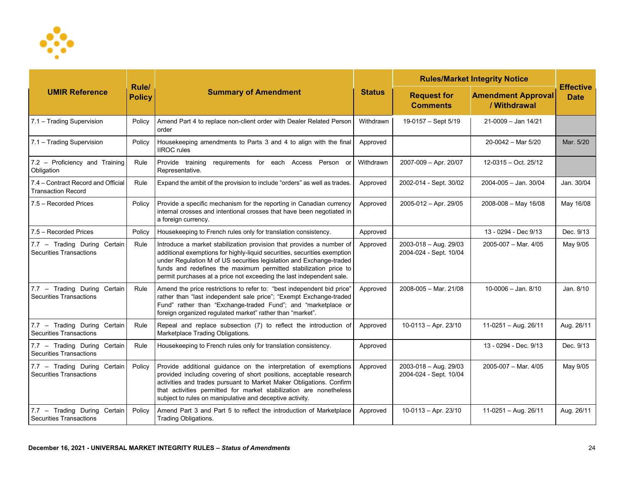

| <b>UMIR Reference</b>                                           |                        | <b>Summary of Amendment</b>                                                                                                                                                                                                                                                                                                                                         | <b>Status</b> | <b>Rules/Market Integrity Notice</b>            |                                           |                                 |
|-----------------------------------------------------------------|------------------------|---------------------------------------------------------------------------------------------------------------------------------------------------------------------------------------------------------------------------------------------------------------------------------------------------------------------------------------------------------------------|---------------|-------------------------------------------------|-------------------------------------------|---------------------------------|
|                                                                 | Rule/<br><b>Policy</b> |                                                                                                                                                                                                                                                                                                                                                                     |               | <b>Request for</b><br><b>Comments</b>           | <b>Amendment Approval</b><br>/ Withdrawal | <b>Effective</b><br><b>Date</b> |
| 7.1 - Trading Supervision                                       | Policy                 | Amend Part 4 to replace non-client order with Dealer Related Person<br>order                                                                                                                                                                                                                                                                                        | Withdrawn     | 19-0157 - Sept 5/19                             | 21-0009 - Jan 14/21                       |                                 |
| 7.1 - Trading Supervision                                       | Policy                 | Housekeeping amendments to Parts 3 and 4 to align with the final<br><b>IIROC</b> rules                                                                                                                                                                                                                                                                              | Approved      |                                                 | 20-0042 - Mar 5/20                        | Mar. 5/20                       |
| 7.2 - Proficiency and Training<br>Obligation                    | Rule                   | Provide training requirements for each Access Person or<br>Representative.                                                                                                                                                                                                                                                                                          | Withdrawn     | 2007-009 - Apr. 20/07                           | 12-0315 - Oct. 25/12                      |                                 |
| 7.4 – Contract Record and Official<br><b>Transaction Record</b> | Rule                   | Expand the ambit of the provision to include "orders" as well as trades.                                                                                                                                                                                                                                                                                            | Approved      | 2002-014 - Sept. 30/02                          | 2004-005 - Jan. 30/04                     | Jan. 30/04                      |
| 7.5 - Recorded Prices                                           | Policy                 | Provide a specific mechanism for the reporting in Canadian currency<br>internal crosses and intentional crosses that have been negotiated in<br>a foreign currency.                                                                                                                                                                                                 | Approved      | 2005-012 - Apr. 29/05                           | 2008-008 - May 16/08                      | May 16/08                       |
| 7.5 - Recorded Prices                                           | Policy                 | Housekeeping to French rules only for translation consistency.                                                                                                                                                                                                                                                                                                      | Approved      |                                                 | 13 - 0294 - Dec 9/13                      | Dec. 9/13                       |
| 7.7 - Trading During Certain<br><b>Securities Transactions</b>  | Rule                   | Introduce a market stabilization provision that provides a number of<br>additional exemptions for highly-liquid securities, securities exemption<br>under Regulation M of US securities legislation and Exchange-traded<br>funds and redefines the maximum permitted stabilization price to<br>permit purchases at a price not exceeding the last independent sale. | Approved      | 2003-018 - Aug. 29/03<br>2004-024 - Sept. 10/04 | 2005-007 - Mar. 4/05                      | May 9/05                        |
| 7.7 - Trading During Certain<br><b>Securities Transactions</b>  | Rule                   | Amend the price restrictions to refer to: "best independent bid price"<br>rather than "last independent sale price"; "Exempt Exchange-traded<br>Fund" rather than "Exchange-traded Fund"; and "marketplace or<br>foreign organized regulated market" rather than "market".                                                                                          | Approved      | 2008-005 - Mar. 21/08                           | $10 - 0006 -$ Jan. $8/10$                 | Jan. 8/10                       |
| 7.7 - Trading During Certain<br><b>Securities Transactions</b>  | Rule                   | Repeal and replace subsection (7) to reflect the introduction of<br>Marketplace Trading Obligations.                                                                                                                                                                                                                                                                | Approved      | $10-0113 - Apr. 23/10$                          | $11-0251 - Aug. 26/11$                    | Aug. 26/11                      |
| 7.7 - Trading During Certain<br><b>Securities Transactions</b>  | Rule                   | Housekeeping to French rules only for translation consistency.                                                                                                                                                                                                                                                                                                      | Approved      |                                                 | 13 - 0294 - Dec. 9/13                     | Dec. 9/13                       |
| 7.7 - Trading During Certain<br><b>Securities Transactions</b>  | Policy                 | Provide additional guidance on the interpretation of exemptions<br>provided including covering of short positions, acceptable research<br>activities and trades pursuant to Market Maker Obligations. Confirm<br>that activities permitted for market stabilization are nonetheless<br>subject to rules on manipulative and deceptive activity.                     | Approved      | 2003-018 - Aug. 29/03<br>2004-024 - Sept. 10/04 | $2005 - 007 - \text{Mar. } 4/05$          | May 9/05                        |
| 7.7 - Trading During Certain<br><b>Securities Transactions</b>  | Policy                 | Amend Part 3 and Part 5 to reflect the introduction of Marketplace<br>Trading Obligations.                                                                                                                                                                                                                                                                          | Approved      | $10-0113 - Apr. 23/10$                          | 11-0251 - Aug. 26/11                      | Aug. 26/11                      |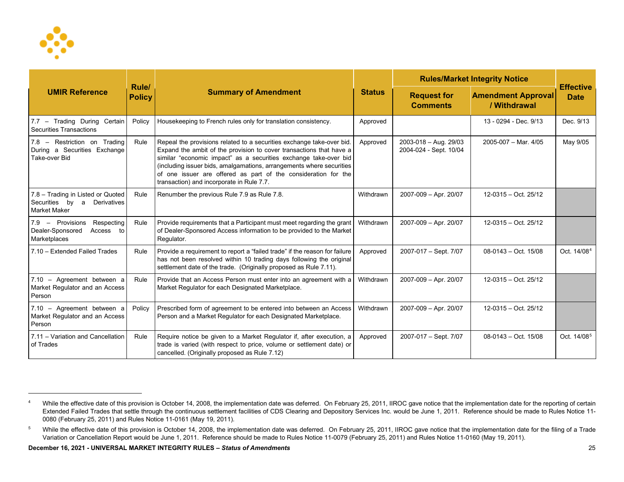<span id="page-24-1"></span><span id="page-24-0"></span>

| <b>UMIR Reference</b>                                                                  |                        | <b>Summary of Amendment</b>                                                                                                                                                                                                                                                                                                                                                                             | <b>Status</b> | <b>Rules/Market Integrity Notice</b>            |                                           |                                 |
|----------------------------------------------------------------------------------------|------------------------|---------------------------------------------------------------------------------------------------------------------------------------------------------------------------------------------------------------------------------------------------------------------------------------------------------------------------------------------------------------------------------------------------------|---------------|-------------------------------------------------|-------------------------------------------|---------------------------------|
|                                                                                        | Rule/<br><b>Policy</b> |                                                                                                                                                                                                                                                                                                                                                                                                         |               | <b>Request for</b><br><b>Comments</b>           | <b>Amendment Approval</b><br>/ Withdrawal | <b>Effective</b><br><b>Date</b> |
| 7.7 - Trading During Certain<br>Securities Transactions                                | Policy                 | Housekeeping to French rules only for translation consistency.                                                                                                                                                                                                                                                                                                                                          | Approved      |                                                 | 13 - 0294 - Dec. 9/13                     | Dec. 9/13                       |
| 7.8 - Restriction on Trading<br>During a Securities Exchange<br>Take-over Bid          | Rule                   | Repeal the provisions related to a securities exchange take-over bid.<br>Expand the ambit of the provision to cover transactions that have a<br>similar "economic impact" as a securities exchange take-over bid<br>(including issuer bids, amalgamations, arrangements where securities<br>of one issuer are offered as part of the consideration for the<br>transaction) and incorporate in Rule 7.7. | Approved      | 2003-018 - Aug. 29/03<br>2004-024 - Sept. 10/04 | 2005-007 - Mar. 4/05                      | May 9/05                        |
| 7.8 - Trading in Listed or Quoted<br>Securities by<br>Derivatives<br>a<br>Market Maker | Rule                   | Renumber the previous Rule 7.9 as Rule 7.8.                                                                                                                                                                                                                                                                                                                                                             | Withdrawn     | 2007-009 - Apr. 20/07                           | 12-0315 - Oct. 25/12                      |                                 |
| 7.9 - Provisions<br>Respecting<br>Dealer-Sponsored<br>Access to<br>Marketplaces        | Rule                   | Provide requirements that a Participant must meet regarding the grant<br>of Dealer-Sponsored Access information to be provided to the Market<br>Regulator.                                                                                                                                                                                                                                              | Withdrawn     | 2007-009 - Apr. 20/07                           | 12-0315 - Oct. 25/12                      |                                 |
| 7.10 - Extended Failed Trades                                                          | Rule                   | Provide a requirement to report a "failed trade" if the reason for failure<br>has not been resolved within 10 trading days following the original<br>settlement date of the trade. (Originally proposed as Rule 7.11).                                                                                                                                                                                  | Approved      | 2007-017 - Sept. 7/07                           | $08-0143 - Oct. 15/08$                    | Oct. 14/08 <sup>4</sup>         |
| 7.10 - Agreement between a<br>Market Regulator and an Access<br>Person                 | Rule                   | Provide that an Access Person must enter into an agreement with a<br>Market Regulator for each Designated Marketplace.                                                                                                                                                                                                                                                                                  | Withdrawn     | 2007-009 - Apr. 20/07                           | 12-0315 - Oct. 25/12                      |                                 |
| 7.10 - Agreement between a<br>Market Regulator and an Access<br>Person                 | Policy                 | Prescribed form of agreement to be entered into between an Access<br>Person and a Market Regulator for each Designated Marketplace.                                                                                                                                                                                                                                                                     | Withdrawn     | 2007-009 - Apr. 20/07                           | 12-0315 - Oct. 25/12                      |                                 |
| 7.11 - Variation and Cancellation<br>of Trades                                         | Rule                   | Require notice be given to a Market Regulator if, after execution, a<br>trade is varied (with respect to price, volume or settlement date) or<br>cancelled. (Originally proposed as Rule 7.12)                                                                                                                                                                                                          | Approved      | 2007-017 - Sept. 7/07                           | $08-0143 - Oct. 15/08$                    | Oct. 14/08 <sup>5</sup>         |

<sup>4</sup> While the effective date of this provision is October 14, 2008, the implementation date was deferred. On February 25, 2011, IIROC gave notice that the implementation date for the reporting of certain Extended Failed Trades that settle through the continuous settlement facilities of CDS Clearing and Depository Services Inc. would be June 1, 2011. Reference should be made to Rules Notice 11-0080 (February 25, 2011) and Rules Notice 11-0161 (May 19, 2011).

<sup>&</sup>lt;sup>5</sup> While the effective date of this provision is October 14, 2008, the implementation date was deferred. On February 25, 2011, IIROC gave notice that the implementation date for the filing of a Trade Variation or Cancellation Report would be June 1, 2011. Reference should be made to Rules Notice 11-0079 (February 25, 2011) and Rules Notice 11-0160 (May 19, 2011).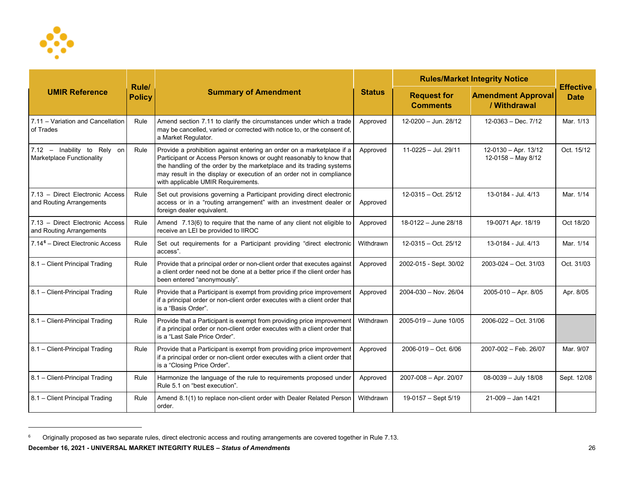<span id="page-25-0"></span>

| <b>UMIR Reference</b>                                       |                        | <b>Summary of Amendment</b>                                                                                                                                                                                                                                                                                                        | <b>Status</b> | <b>Rules/Market Integrity Notice</b>  |                                            |                                 |
|-------------------------------------------------------------|------------------------|------------------------------------------------------------------------------------------------------------------------------------------------------------------------------------------------------------------------------------------------------------------------------------------------------------------------------------|---------------|---------------------------------------|--------------------------------------------|---------------------------------|
|                                                             | Rule/<br><b>Policy</b> |                                                                                                                                                                                                                                                                                                                                    |               | <b>Request for</b><br><b>Comments</b> | <b>Amendment Approval</b><br>/ Withdrawal  | <b>Effective</b><br><b>Date</b> |
| 7.11 - Variation and Cancellation<br>of Trades              | Rule                   | Amend section 7.11 to clarify the circumstances under which a trade<br>may be cancelled, varied or corrected with notice to, or the consent of,<br>a Market Regulator.                                                                                                                                                             | Approved      | 12-0200 - Jun. 28/12                  | $12-0363 - Dec.7/12$                       | Mar. 1/13                       |
| 7.12 - Inability to Rely on<br>Marketplace Functionality    | Rule                   | Provide a prohibition against entering an order on a marketplace if a<br>Participant or Access Person knows or ought reasonably to know that<br>the handling of the order by the marketplace and its trading systems<br>may result in the display or execution of an order not in compliance<br>with applicable UMIR Requirements. | Approved      | 11-0225 - Jul. 29/11                  | 12-0130 - Apr. 13/12<br>12-0158 - May 8/12 | Oct. 15/12                      |
| 7.13 - Direct Electronic Access<br>and Routing Arrangements | Rule                   | Set out provisions governing a Participant providing direct electronic<br>access or in a "routing arrangement" with an investment dealer or<br>foreign dealer equivalent.                                                                                                                                                          | Approved      | 12-0315 - Oct. 25/12                  | 13-0184 - Jul. 4/13                        | Mar. 1/14                       |
| 7.13 - Direct Electronic Access<br>and Routing Arrangements | Rule                   | Amend 7.13(6) to require that the name of any client not eligible to<br>receive an LEI be provided to IIROC                                                                                                                                                                                                                        | Approved      | 18-0122 - June 28/18                  | 19-0071 Apr. 18/19                         | Oct 18/20                       |
| 7.14 <sup>6</sup> – Direct Electronic Access                | Rule                   | Set out requirements for a Participant providing "direct electronic<br>access".                                                                                                                                                                                                                                                    | Withdrawn     | 12-0315 - Oct. 25/12                  | 13-0184 - Jul. 4/13                        | Mar. 1/14                       |
| 8.1 - Client Principal Trading                              | Rule                   | Provide that a principal order or non-client order that executes against<br>a client order need not be done at a better price if the client order has<br>been entered "anonymously".                                                                                                                                               | Approved      | 2002-015 - Sept. 30/02                | $2003 - 024 - Oct. 31/03$                  | Oct. 31/03                      |
| 8.1 - Client-Principal Trading                              | Rule                   | Provide that a Participant is exempt from providing price improvement<br>if a principal order or non-client order executes with a client order that<br>is a "Basis Order".                                                                                                                                                         | Approved      | 2004-030 - Nov. 26/04                 | 2005-010 - Apr. 8/05                       | Apr. 8/05                       |
| 8.1 - Client-Principal Trading                              | Rule                   | Provide that a Participant is exempt from providing price improvement<br>if a principal order or non-client order executes with a client order that<br>is a "Last Sale Price Order".                                                                                                                                               | Withdrawn     | $2005 - 019 -$ June 10/05             | 2006-022 - Oct. 31/06                      |                                 |
| 8.1 - Client-Principal Trading                              | Rule                   | Provide that a Participant is exempt from providing price improvement<br>if a principal order or non-client order executes with a client order that<br>is a "Closing Price Order".                                                                                                                                                 | Approved      | 2006-019 - Oct. 6/06                  | 2007-002 - Feb. 26/07                      | Mar. 9/07                       |
| 8.1 - Client-Principal Trading                              | Rule                   | Harmonize the language of the rule to requirements proposed under<br>Rule 5.1 on "best execution".                                                                                                                                                                                                                                 | Approved      | 2007-008 - Apr. 20/07                 | 08-0039 - July 18/08                       | Sept. 12/08                     |
| 8.1 - Client Principal Trading                              | Rule                   | Amend 8.1(1) to replace non-client order with Dealer Related Person<br>order.                                                                                                                                                                                                                                                      | Withdrawn     | 19-0157 - Sept 5/19                   | $21-009 - Jan 14/21$                       |                                 |

<sup>6</sup> Originally proposed as two separate rules, direct electronic access and routing arrangements are covered together in Rule 7.13.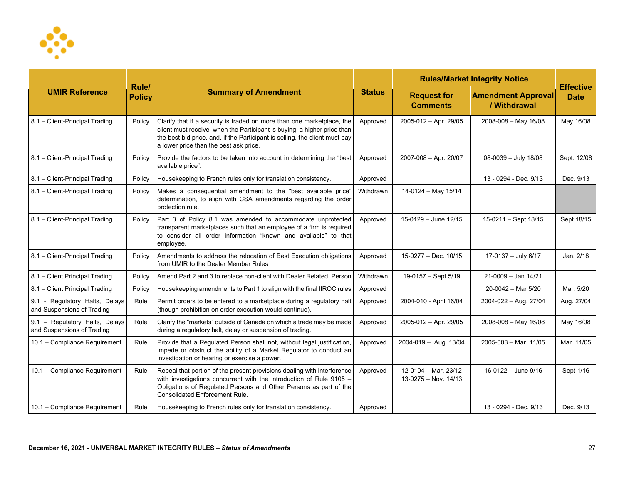

|                                                              |                        | <b>Summary of Amendment</b>                                                                                                                                                                                                                                                 |               | <b>Rules/Market Integrity Notice</b>           |                                           |                                 |
|--------------------------------------------------------------|------------------------|-----------------------------------------------------------------------------------------------------------------------------------------------------------------------------------------------------------------------------------------------------------------------------|---------------|------------------------------------------------|-------------------------------------------|---------------------------------|
| <b>UMIR Reference</b>                                        | Rule/<br><b>Policy</b> |                                                                                                                                                                                                                                                                             | <b>Status</b> | <b>Request for</b><br><b>Comments</b>          | <b>Amendment Approval</b><br>/ Withdrawal | <b>Effective</b><br><b>Date</b> |
| 8.1 - Client-Principal Trading                               | Policy                 | Clarify that if a security is traded on more than one marketplace, the<br>client must receive, when the Participant is buying, a higher price than<br>the best bid price, and, if the Participant is selling, the client must pay<br>a lower price than the best ask price. | Approved      | 2005-012 - Apr. 29/05                          | $2008 - 008 -$ May 16/08                  | May 16/08                       |
| 8.1 - Client-Principal Trading                               | Policy                 | Provide the factors to be taken into account in determining the "best"<br>available price".                                                                                                                                                                                 | Approved      | 2007-008 - Apr. 20/07                          | 08-0039 - July 18/08                      | Sept. 12/08                     |
| 8.1 - Client-Principal Trading                               | Policy                 | Housekeeping to French rules only for translation consistency.                                                                                                                                                                                                              | Approved      |                                                | 13 - 0294 - Dec. 9/13                     | Dec. 9/13                       |
| 8.1 - Client-Principal Trading                               | Policy                 | Makes a consequential amendment to the "best available price"<br>determination, to align with CSA amendments regarding the order<br>protection rule.                                                                                                                        | Withdrawn     | 14-0124 - May 15/14                            |                                           |                                 |
| 8.1 - Client-Principal Trading                               | Policy                 | Part 3 of Policy 8.1 was amended to accommodate unprotected<br>transparent marketplaces such that an employee of a firm is required<br>to consider all order information "known and available" to that<br>employee.                                                         | Approved      | 15-0129 - June 12/15                           | 15-0211 - Sept 18/15                      | Sept 18/15                      |
| 8.1 - Client-Principal Trading                               | Policy                 | Amendments to address the relocation of Best Execution obligations<br>from UMIR to the Dealer Member Rules                                                                                                                                                                  | Approved      | 15-0277 - Dec. 10/15                           | 17-0137 - July 6/17                       | Jan. 2/18                       |
| 8.1 - Client Principal Trading                               | Policy                 | Amend Part 2 and 3 to replace non-client with Dealer Related Person                                                                                                                                                                                                         | Withdrawn     | 19-0157 - Sept 5/19                            | $21-0009 - Jan 14/21$                     |                                 |
| 8.1 - Client Principal Trading                               | Policy                 | Housekeeping amendments to Part 1 to align with the final IIROC rules                                                                                                                                                                                                       | Approved      |                                                | $20-0042$ – Mar 5/20                      | Mar. 5/20                       |
| 9.1 - Regulatory Halts, Delays<br>and Suspensions of Trading | Rule                   | Permit orders to be entered to a marketplace during a regulatory halt<br>(though prohibition on order execution would continue).                                                                                                                                            | Approved      | 2004-010 - April 16/04                         | 2004-022 - Aug. 27/04                     | Aug. 27/04                      |
| 9.1 - Regulatory Halts, Delays<br>and Suspensions of Trading | Rule                   | Clarify the "markets" outside of Canada on which a trade may be made<br>during a regulatory halt, delay or suspension of trading.                                                                                                                                           | Approved      | 2005-012 - Apr. 29/05                          | 2008-008 - May 16/08                      | May 16/08                       |
| 10.1 - Compliance Requirement                                | Rule                   | Provide that a Regulated Person shall not, without legal justification,<br>impede or obstruct the ability of a Market Regulator to conduct an<br>investigation or hearing or exercise a power.                                                                              | Approved      | 2004-019 - Aug. 13/04                          | $2005 - 008 - \text{Mar. } 11/05$         | Mar. 11/05                      |
| 10.1 - Compliance Requirement                                | Rule                   | Repeal that portion of the present provisions dealing with interference<br>with investigations concurrent with the introduction of Rule 9105 -<br>Obligations of Regulated Persons and Other Persons as part of the<br><b>Consolidated Enforcement Rule.</b>                | Approved      | 12-0104 - Mar. 23/12<br>$13-0275 - Nov. 14/13$ | 16-0122 - June 9/16                       | Sept 1/16                       |
| 10.1 - Compliance Requirement                                | Rule                   | Housekeeping to French rules only for translation consistency.                                                                                                                                                                                                              | Approved      |                                                | 13 - 0294 - Dec. 9/13                     | Dec. 9/13                       |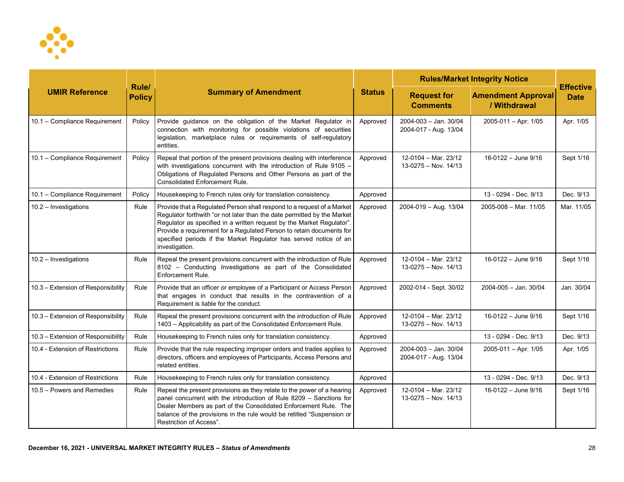

| <b>UMIR Reference</b>              |                        | <b>Summary of Amendment</b>                                                                                                                                                                                                                                                                                                                                                               | <b>Status</b> | <b>Rules/Market Integrity Notice</b>           |                                           |                                 |
|------------------------------------|------------------------|-------------------------------------------------------------------------------------------------------------------------------------------------------------------------------------------------------------------------------------------------------------------------------------------------------------------------------------------------------------------------------------------|---------------|------------------------------------------------|-------------------------------------------|---------------------------------|
|                                    | Rule/<br><b>Policy</b> |                                                                                                                                                                                                                                                                                                                                                                                           |               | <b>Request for</b><br><b>Comments</b>          | <b>Amendment Approval</b><br>/ Withdrawal | <b>Effective</b><br><b>Date</b> |
| 10.1 - Compliance Requirement      | Policy                 | Provide guidance on the obligation of the Market Regulator in<br>connection with monitoring for possible violations of securities<br>legislation, marketplace rules or requirements of self-regulatory<br>entities.                                                                                                                                                                       | Approved      | 2004-003 - Jan. 30/04<br>2004-017 - Aug. 13/04 | $2005 - 011 - Apr.$ 1/05                  | Apr. 1/05                       |
| 10.1 - Compliance Requirement      | Policy                 | Repeal that portion of the present provisions dealing with interference<br>with investigations concurrent with the introduction of Rule 9105 -<br>Obligations of Regulated Persons and Other Persons as part of the<br><b>Consolidated Enforcement Rule.</b>                                                                                                                              | Approved      | 12-0104 - Mar. 23/12<br>$13-0275 - Nov. 14/13$ | 16-0122 - June 9/16                       | Sept 1/16                       |
| 10.1 - Compliance Requirement      | Policy                 | Housekeeping to French rules only for translation consistency.                                                                                                                                                                                                                                                                                                                            | Approved      |                                                | 13 - 0294 - Dec. 9/13                     | Dec. 9/13                       |
| 10.2 - Investigations              | Rule                   | Provide that a Regulated Person shall respond to a request of a Market<br>Regulator forthwith "or not later than the date permitted by the Market<br>Regulator as specified in a written request by the Market Regulator".<br>Provide a requirement for a Regulated Person to retain documents for<br>specified periods if the Market Regulator has served notice of an<br>investigation. | Approved      | 2004-019 - Aug. 13/04                          | 2005-008 - Mar. 11/05                     | Mar. 11/05                      |
| $10.2 -$ Investigations            | Rule                   | Repeal the present provisions concurrent with the introduction of Rule<br>8102 - Conducting Investigations as part of the Consolidated<br>Enforcement Rule.                                                                                                                                                                                                                               | Approved      | 12-0104 - Mar. 23/12<br>$13-0275 - Nov. 14/13$ | 16-0122 - June 9/16                       | Sept 1/16                       |
| 10.3 - Extension of Responsibility | Rule                   | Provide that an officer or employee of a Participant or Access Person<br>that engages in conduct that results in the contravention of a<br>Requirement is liable for the conduct.                                                                                                                                                                                                         | Approved      | 2002-014 - Sept. 30/02                         | 2004-005 - Jan. 30/04                     | Jan. 30/04                      |
| 10.3 - Extension of Responsibility | Rule                   | Repeal the present provisions concurrent with the introduction of Rule<br>1403 - Applicability as part of the Consolidated Enforcement Rule.                                                                                                                                                                                                                                              | Approved      | 12-0104 - Mar. 23/12<br>$13-0275 - Nov. 14/13$ | 16-0122 - June 9/16                       | Sept 1/16                       |
| 10.3 - Extension of Responsibility | Rule                   | Housekeeping to French rules only for translation consistency.                                                                                                                                                                                                                                                                                                                            | Approved      |                                                | 13 - 0294 - Dec. 9/13                     | Dec. 9/13                       |
| 10.4 - Extension of Restrictions   | Rule                   | Provide that the rule respecting improper orders and trades applies to<br>directors, officers and employees of Participants, Access Persons and<br>related entities.                                                                                                                                                                                                                      | Approved      | 2004-003 - Jan. 30/04<br>2004-017 - Aug. 13/04 | $2005 - 011 - Apr. 1/05$                  | Apr. 1/05                       |
| 10.4 - Extension of Restrictions   | Rule                   | Housekeeping to French rules only for translation consistency.                                                                                                                                                                                                                                                                                                                            | Approved      |                                                | 13 - 0294 - Dec. 9/13                     | Dec. 9/13                       |
| 10.5 - Powers and Remedies         | Rule                   | Repeal the present provisions as they relate to the power of a hearing<br>panel concurrent with the introduction of Rule 8209 - Sanctions for<br>Dealer Members as part of the Consolidated Enforcement Rule. The<br>balance of the provisions in the rule would be retitled "Suspension or<br>Restriction of Access".                                                                    | Approved      | 12-0104 - Mar. 23/12<br>$13-0275 - Nov. 14/13$ | $16-0122 - June 9/16$                     | Sept 1/16                       |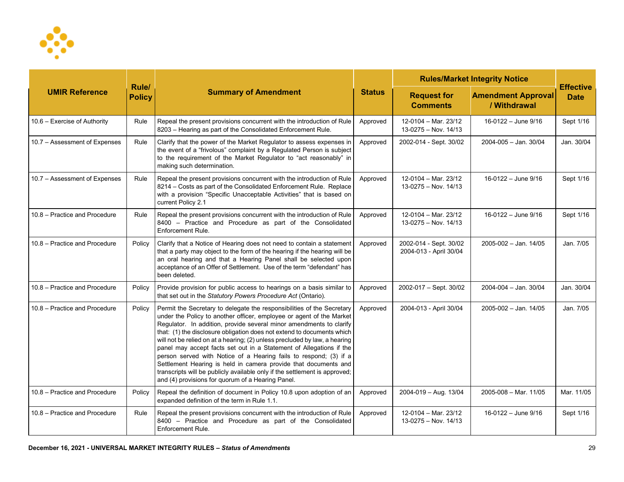

| <b>UMIR Reference</b>         |                        | <b>Summary of Amendment</b>                                                                                                                                                                                                                                                                                                                                                                                                                                                                                                                                                                                                                                                                                                     | <b>Status</b> | <b>Rules/Market Integrity Notice</b>             |                                           |                                 |
|-------------------------------|------------------------|---------------------------------------------------------------------------------------------------------------------------------------------------------------------------------------------------------------------------------------------------------------------------------------------------------------------------------------------------------------------------------------------------------------------------------------------------------------------------------------------------------------------------------------------------------------------------------------------------------------------------------------------------------------------------------------------------------------------------------|---------------|--------------------------------------------------|-------------------------------------------|---------------------------------|
|                               | Rule/<br><b>Policy</b> |                                                                                                                                                                                                                                                                                                                                                                                                                                                                                                                                                                                                                                                                                                                                 |               | <b>Request for</b><br><b>Comments</b>            | <b>Amendment Approval</b><br>/ Withdrawal | <b>Effective</b><br><b>Date</b> |
| 10.6 - Exercise of Authority  | Rule                   | Repeal the present provisions concurrent with the introduction of Rule<br>8203 - Hearing as part of the Consolidated Enforcement Rule.                                                                                                                                                                                                                                                                                                                                                                                                                                                                                                                                                                                          | Approved      | 12-0104 - Mar. 23/12<br>$13-0275 - Nov. 14/13$   | 16-0122 - June 9/16                       | Sept 1/16                       |
| 10.7 - Assessment of Expenses | Rule                   | Clarify that the power of the Market Regulator to assess expenses in<br>the event of a "frivolous" complaint by a Regulated Person is subject<br>to the requirement of the Market Regulator to "act reasonably" in<br>making such determination.                                                                                                                                                                                                                                                                                                                                                                                                                                                                                | Approved      | 2002-014 - Sept. 30/02                           | $2004 - 005 -$ Jan. 30/04                 | Jan. 30/04                      |
| 10.7 – Assessment of Expenses | Rule                   | Repeal the present provisions concurrent with the introduction of Rule<br>8214 - Costs as part of the Consolidated Enforcement Rule. Replace<br>with a provision "Specific Unacceptable Activities" that is based on<br>current Policy 2.1                                                                                                                                                                                                                                                                                                                                                                                                                                                                                      | Approved      | 12-0104 - Mar. 23/12<br>$13-0275 - Nov. 14/13$   | 16-0122 - June 9/16                       | Sept 1/16                       |
| 10.8 - Practice and Procedure | Rule                   | Repeal the present provisions concurrent with the introduction of Rule<br>8400 - Practice and Procedure as part of the Consolidated<br>Enforcement Rule.                                                                                                                                                                                                                                                                                                                                                                                                                                                                                                                                                                        | Approved      | 12-0104 - Mar. 23/12<br>$13-0275 - Nov. 14/13$   | 16-0122 - June 9/16                       | Sept 1/16                       |
| 10.8 - Practice and Procedure | Policy                 | Clarify that a Notice of Hearing does not need to contain a statement<br>that a party may object to the form of the hearing if the hearing will be<br>an oral hearing and that a Hearing Panel shall be selected upon<br>acceptance of an Offer of Settlement. Use of the term "defendant" has<br>been deleted.                                                                                                                                                                                                                                                                                                                                                                                                                 | Approved      | 2002-014 - Sept. 30/02<br>2004-013 - April 30/04 | 2005-002 - Jan. 14/05                     | Jan. 7/05                       |
| 10.8 - Practice and Procedure | Policy                 | Provide provision for public access to hearings on a basis similar to<br>that set out in the Statutory Powers Procedure Act (Ontario).                                                                                                                                                                                                                                                                                                                                                                                                                                                                                                                                                                                          | Approved      | 2002-017 - Sept. 30/02                           | 2004-004 - Jan. 30/04                     | Jan. 30/04                      |
| 10.8 - Practice and Procedure | Policy                 | Permit the Secretary to delegate the responsibilities of the Secretary<br>under the Policy to another officer, employee or agent of the Market<br>Regulator. In addition, provide several minor amendments to clarify<br>that: (1) the disclosure obligation does not extend to documents which<br>will not be relied on at a hearing; (2) unless precluded by law, a hearing<br>panel may accept facts set out in a Statement of Allegations if the<br>person served with Notice of a Hearing fails to respond; (3) if a<br>Settlement Hearing is held in camera provide that documents and<br>transcripts will be publicly available only if the settlement is approved;<br>and (4) provisions for quorum of a Hearing Panel. | Approved      | 2004-013 - April 30/04                           | 2005-002 - Jan. 14/05                     | Jan. 7/05                       |
| 10.8 - Practice and Procedure | Policy                 | Repeal the definition of document in Policy 10.8 upon adoption of an<br>expanded definition of the term in Rule 1.1.                                                                                                                                                                                                                                                                                                                                                                                                                                                                                                                                                                                                            | Approved      | 2004-019 - Aug. 13/04                            | $2005 - 008 - \text{Mar. } 11/05$         | Mar. 11/05                      |
| 10.8 - Practice and Procedure | Rule                   | Repeal the present provisions concurrent with the introduction of Rule<br>8400 - Practice and Procedure as part of the Consolidated<br>Enforcement Rule.                                                                                                                                                                                                                                                                                                                                                                                                                                                                                                                                                                        | Approved      | 12-0104 - Mar. 23/12<br>$13-0275 - Nov. 14/13$   | 16-0122 - June 9/16                       | Sept 1/16                       |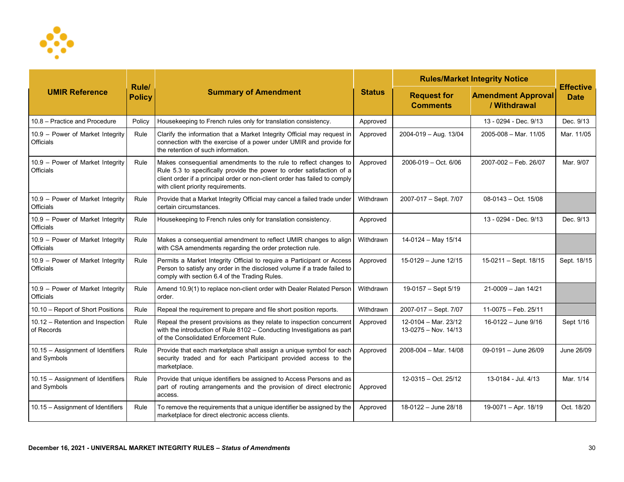

| <b>UMIR Reference</b>                                |                        | <b>Summary of Amendment</b>                                                                                                                                                                                                                                   |               | <b>Rules/Market Integrity Notice</b>           |                                           |                                 |
|------------------------------------------------------|------------------------|---------------------------------------------------------------------------------------------------------------------------------------------------------------------------------------------------------------------------------------------------------------|---------------|------------------------------------------------|-------------------------------------------|---------------------------------|
|                                                      | Rule/<br><b>Policy</b> |                                                                                                                                                                                                                                                               | <b>Status</b> | <b>Request for</b><br><b>Comments</b>          | <b>Amendment Approval</b><br>/ Withdrawal | <b>Effective</b><br><b>Date</b> |
| 10.8 - Practice and Procedure                        | Policy                 | Housekeeping to French rules only for translation consistency.                                                                                                                                                                                                | Approved      |                                                | 13 - 0294 - Dec. 9/13                     | Dec. 9/13                       |
| 10.9 - Power of Market Integrity<br><b>Officials</b> | Rule                   | Clarify the information that a Market Integrity Official may request in<br>connection with the exercise of a power under UMIR and provide for<br>the retention of such information.                                                                           | Approved      | 2004-019 - Aug. 13/04                          | 2005-008 - Mar. 11/05                     | Mar. 11/05                      |
| 10.9 - Power of Market Integrity<br><b>Officials</b> | Rule                   | Makes consequential amendments to the rule to reflect changes to<br>Rule 5.3 to specifically provide the power to order satisfaction of a<br>client order if a principal order or non-client order has failed to comply<br>with client priority requirements. | Approved      | $2006 - 019 - Oct. 6/06$                       | 2007-002 - Feb. 26/07                     | Mar. 9/07                       |
| 10.9 - Power of Market Integrity<br><b>Officials</b> | Rule                   | Provide that a Market Integrity Official may cancel a failed trade under<br>certain circumstances.                                                                                                                                                            | Withdrawn     | 2007-017 - Sept. 7/07                          | $08-0143 - Oct. 15/08$                    |                                 |
| 10.9 - Power of Market Integrity<br><b>Officials</b> | Rule                   | Housekeeping to French rules only for translation consistency.                                                                                                                                                                                                | Approved      |                                                | 13 - 0294 - Dec. 9/13                     | Dec. 9/13                       |
| 10.9 - Power of Market Integrity<br><b>Officials</b> | Rule                   | Makes a consequential amendment to reflect UMIR changes to align<br>with CSA amendments regarding the order protection rule.                                                                                                                                  | Withdrawn     | 14-0124 - May 15/14                            |                                           |                                 |
| 10.9 - Power of Market Integrity<br><b>Officials</b> | Rule                   | Permits a Market Integrity Official to require a Participant or Access<br>Person to satisfy any order in the disclosed volume if a trade failed to<br>comply with section 6.4 of the Trading Rules.                                                           | Approved      | 15-0129 - June 12/15                           | 15-0211 - Sept. 18/15                     | Sept. 18/15                     |
| 10.9 - Power of Market Integrity<br><b>Officials</b> | Rule                   | Amend 10.9(1) to replace non-client order with Dealer Related Person<br>order.                                                                                                                                                                                | Withdrawn     | 19-0157 - Sept 5/19                            | 21-0009 - Jan 14/21                       |                                 |
| 10.10 - Report of Short Positions                    | Rule                   | Repeal the requirement to prepare and file short position reports.                                                                                                                                                                                            | Withdrawn     | 2007-017 - Sept. 7/07                          | 11-0075 - Feb. 25/11                      |                                 |
| 10.12 - Retention and Inspection<br>of Records       | Rule                   | Repeal the present provisions as they relate to inspection concurrent<br>with the introduction of Rule 8102 - Conducting Investigations as part<br>of the Consolidated Enforcement Rule.                                                                      | Approved      | 12-0104 - Mar. 23/12<br>$13-0275 - Nov. 14/13$ | 16-0122 - June 9/16                       | Sept 1/16                       |
| 10.15 - Assignment of Identifiers<br>and Symbols     | Rule                   | Provide that each marketplace shall assign a unique symbol for each<br>security traded and for each Participant provided access to the<br>marketplace.                                                                                                        | Approved      | 2008-004 - Mar. 14/08                          | 09-0191 - June 26/09                      | June 26/09                      |
| 10.15 - Assignment of Identifiers<br>and Symbols     | Rule                   | Provide that unique identifiers be assigned to Access Persons and as<br>part of routing arrangements and the provision of direct electronic<br>access.                                                                                                        | Approved      | $12-0315 - Oct. 25/12$                         | 13-0184 - Jul. 4/13                       | Mar. 1/14                       |
| 10.15 - Assignment of Identifiers                    | Rule                   | To remove the requirements that a unique identifier be assigned by the<br>marketplace for direct electronic access clients.                                                                                                                                   | Approved      | 18-0122 - June 28/18                           | 19-0071 - Apr. 18/19                      | Oct. 18/20                      |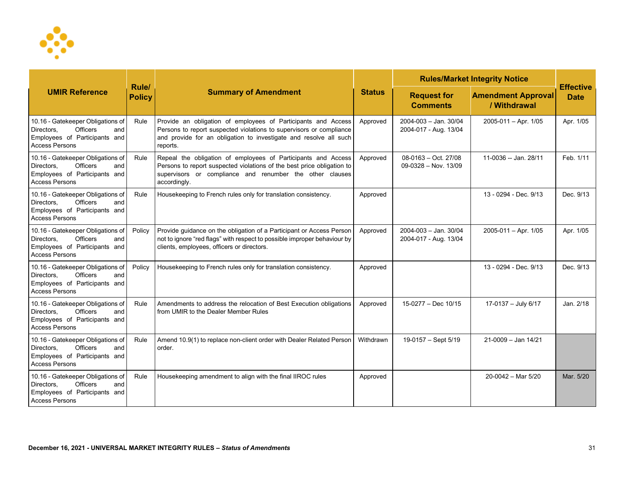

| <b>UMIR Reference</b>                                                                                                               |                        | <b>Summary of Amendment</b>                                                                                                                                                                                           | <b>Status</b> | <b>Rules/Market Integrity Notice</b>                 | <b>Effective</b>                          |             |
|-------------------------------------------------------------------------------------------------------------------------------------|------------------------|-----------------------------------------------------------------------------------------------------------------------------------------------------------------------------------------------------------------------|---------------|------------------------------------------------------|-------------------------------------------|-------------|
|                                                                                                                                     | Rule/<br><b>Policy</b> |                                                                                                                                                                                                                       |               | <b>Request for</b><br><b>Comments</b>                | <b>Amendment Approval</b><br>/ Withdrawal | <b>Date</b> |
| 10.16 - Gatekeeper Obligations of<br><b>Officers</b><br>Directors,<br>and<br>Employees of Participants and<br><b>Access Persons</b> | Rule                   | Provide an obligation of employees of Participants and Access<br>Persons to report suspected violations to supervisors or compliance<br>and provide for an obligation to investigate and resolve all such<br>reports. | Approved      | 2004-003 - Jan. 30/04<br>2004-017 - Aug. 13/04       | $2005 - 011 - Apr.$ 1/05                  | Apr. 1/05   |
| 10.16 - Gatekeeper Obligations of<br><b>Officers</b><br>Directors,<br>and<br>Employees of Participants and<br><b>Access Persons</b> | Rule                   | Repeal the obligation of employees of Participants and Access<br>Persons to report suspected violations of the best price obligation to<br>supervisors or compliance and renumber the other clauses<br>accordingly.   | Approved      | 08-0163 - Oct. 27/08<br>$09-0328 - Nov. 13/09$       | 11-0036 -- Jan. 28/11                     | Feb. 1/11   |
| 10.16 - Gatekeeper Obligations of<br><b>Officers</b><br>Directors.<br>and<br>Employees of Participants and<br><b>Access Persons</b> | Rule                   | Housekeeping to French rules only for translation consistency.                                                                                                                                                        | Approved      |                                                      | 13 - 0294 - Dec. 9/13                     | Dec. 9/13   |
| 10.16 - Gatekeeper Obligations of<br><b>Officers</b><br>Directors.<br>and<br>Employees of Participants and<br><b>Access Persons</b> | Policy                 | Provide guidance on the obligation of a Participant or Access Person<br>not to ignore "red flags" with respect to possible improper behaviour by<br>clients, employees, officers or directors.                        | Approved      | $2004 - 003 -$ Jan. $30/04$<br>2004-017 - Aug. 13/04 | $2005 - 011 -$ Apr. 1/05                  | Apr. 1/05   |
| 10.16 - Gatekeeper Obligations of<br><b>Officers</b><br>Directors.<br>and<br>Employees of Participants and<br><b>Access Persons</b> | Policy                 | Housekeeping to French rules only for translation consistency.                                                                                                                                                        | Approved      |                                                      | 13 - 0294 - Dec. 9/13                     | Dec. 9/13   |
| 10.16 - Gatekeeper Obligations of<br><b>Officers</b><br>and<br>Directors.<br>Employees of Participants and<br><b>Access Persons</b> | Rule                   | Amendments to address the relocation of Best Execution obligations<br>from UMIR to the Dealer Member Rules                                                                                                            | Approved      | 15-0277 - Dec 10/15                                  | 17-0137 - July 6/17                       | Jan. 2/18   |
| 10.16 - Gatekeeper Obligations of<br><b>Officers</b><br>Directors,<br>and<br>Employees of Participants and<br><b>Access Persons</b> | Rule                   | Amend 10.9(1) to replace non-client order with Dealer Related Person<br>order.                                                                                                                                        | Withdrawn     | 19-0157 - Sept 5/19                                  | $21 - 0009 -$ Jan $14/21$                 |             |
| 10.16 - Gatekeeper Obligations of<br><b>Officers</b><br>Directors.<br>and<br>Employees of Participants and<br><b>Access Persons</b> | Rule                   | Housekeeping amendment to align with the final IIROC rules                                                                                                                                                            | Approved      |                                                      | $20 - 0042 -$ Mar 5/20                    | Mar. 5/20   |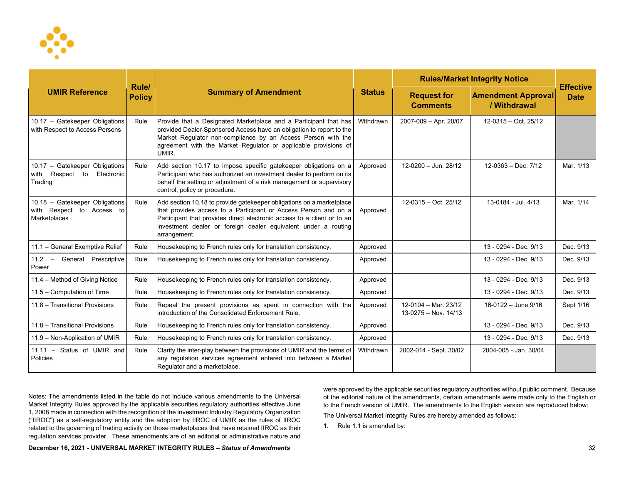

| <b>UMIR Reference</b>                                                          |                        | <b>Summary of Amendment</b>                                                                                                                                                                                                                                                                          | <b>Status</b> | <b>Rules/Market Integrity Notice</b>           |                                           |                                 |
|--------------------------------------------------------------------------------|------------------------|------------------------------------------------------------------------------------------------------------------------------------------------------------------------------------------------------------------------------------------------------------------------------------------------------|---------------|------------------------------------------------|-------------------------------------------|---------------------------------|
|                                                                                | Rule/<br><b>Policy</b> |                                                                                                                                                                                                                                                                                                      |               | <b>Request for</b><br><b>Comments</b>          | <b>Amendment Approval</b><br>/ Withdrawal | <b>Effective</b><br><b>Date</b> |
| 10.17 - Gatekeeper Obligations<br>with Respect to Access Persons               | Rule                   | Provide that a Designated Marketplace and a Participant that has<br>provided Dealer-Sponsored Access have an obligation to report to the<br>Market Regulator non-compliance by an Access Person with the<br>agreement with the Market Regulator or applicable provisions of<br>UMIR.                 | Withdrawn     | 2007-009 - Apr. 20/07                          | $12-0315 - Oct. 25/12$                    |                                 |
| 10.17 - Gatekeeper Obligations<br>with Respect to<br>Electronic<br>Trading     | Rule                   | Add section 10.17 to impose specific gatekeeper obligations on a<br>Participant who has authorized an investment dealer to perform on its<br>behalf the setting or adjustment of a risk management or supervisory<br>control, policy or procedure.                                                   | Approved      | $12-0200 -$ Jun. 28/12                         | $12-0363 - Dec.7/12$                      | Mar. 1/13                       |
| 10.18 - Gatekeeper Obligations<br>with Respect to<br>Access to<br>Marketplaces | Rule                   | Add section 10.18 to provide gatekeeper obligations on a marketplace<br>that provides access to a Participant or Access Person and on a<br>Participant that provides direct electronic access to a client or to an<br>investment dealer or foreign dealer equivalent under a routing<br>arrangement. | Approved      | $12-0315 - Oct. 25/12$                         | 13-0184 - Jul. 4/13                       | Mar. 1/14                       |
| 11.1 - General Exemptive Relief                                                | Rule                   | Housekeeping to French rules only for translation consistency.                                                                                                                                                                                                                                       | Approved      |                                                | 13 - 0294 - Dec. 9/13                     | Dec. 9/13                       |
| $11.2 -$<br>General Prescriptive<br>Power                                      | Rule                   | Housekeeping to French rules only for translation consistency.                                                                                                                                                                                                                                       | Approved      |                                                | 13 - 0294 - Dec. 9/13                     | Dec. 9/13                       |
| 11.4 - Method of Giving Notice                                                 | Rule                   | Housekeeping to French rules only for translation consistency.                                                                                                                                                                                                                                       | Approved      |                                                | 13 - 0294 - Dec. 9/13                     | Dec. 9/13                       |
| 11.5 - Computation of Time                                                     | Rule                   | Housekeeping to French rules only for translation consistency.                                                                                                                                                                                                                                       | Approved      |                                                | 13 - 0294 - Dec. 9/13                     | Dec. 9/13                       |
| 11.8 - Transitional Provisions                                                 | Rule                   | Repeal the present provisions as spent in connection with the<br>introduction of the Consolidated Enforcement Rule.                                                                                                                                                                                  | Approved      | 12-0104 - Mar. 23/12<br>$13-0275 - Nov. 14/13$ | 16-0122 - June 9/16                       | Sept 1/16                       |
| 11.8 - Transitional Provisions                                                 | Rule                   | Housekeeping to French rules only for translation consistency.                                                                                                                                                                                                                                       | Approved      |                                                | 13 - 0294 - Dec. 9/13                     | Dec. 9/13                       |
| 11.9 - Non-Application of UMIR                                                 | Rule                   | Housekeeping to French rules only for translation consistency.                                                                                                                                                                                                                                       | Approved      |                                                | 13 - 0294 - Dec. 9/13                     | Dec. 9/13                       |
| 11.11 - Status of UMIR and<br>Policies                                         | Rule                   | Clarify the inter-play between the provisions of UMIR and the terms of<br>any regulation services agreement entered into between a Market<br>Regulator and a marketplace.                                                                                                                            | Withdrawn     | 2002-014 - Sept. 30/02                         | 2004-005 - Jan. 30/04                     |                                 |

Notes: The amendments listed in the table do not include various amendments to the Universal Market Integrity Rules approved by the applicable securities regulatory authorities effective June 1, 2008 made in connection with the recognition of the Investment Industry Regulatory Organization ("IIROC") as a self-regulatory entity and the adoption by IIROC of UMIR as the rules of IIROC related to the governing of trading activity on those marketplaces that have retained IIROC as their regulation services provider. These amendments are of an editorial or administrative nature and were approved by the applicable securities regulatory authorities without public comment. Because of the editorial nature of the amendments, certain amendments were made only to the English or to the French version of UMIR. The amendments to the English version are reproduced below:

The Universal Market Integrity Rules are hereby amended as follows:

1. Rule 1.1 is amended by: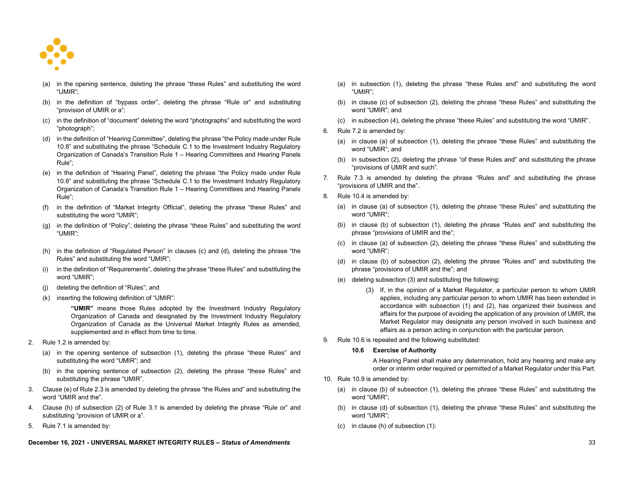

- (a) in the opening sentence, deleting the phrase "these Rules" and substituting the word "UMIR";
- (b) in the definition of "bypass order", deleting the phrase "Rule or" and substituting "provision of UMIR or a";
- (c) in the definition of "document" deleting the word "photographs" and substituting the word "photograph";
- (d) in the definition of "Hearing Committee", deleting the phrase "the Policy made under Rule 10.8" and substituting the phrase "Schedule C.1 to the Investment Industry Regulatory Organization of Canada's Transition Rule 1 – Hearing Committees and Hearing Panels Rule";
- (e) in the definition of "Hearing Panel", deleting the phrase "the Policy made under Rule 10.8" and substituting the phrase "Schedule C.1 to the Investment Industry Regulatory Organization of Canada's Transition Rule 1 – Hearing Committees and Hearing Panels Rule";
- (f) in the definition of "Market Integrity Official", deleting the phrase "these Rules" and substituting the word "UMIR";
- (g) in the definition of "Policy", deleting the phrase "these Rules" and substituting the word "UMIR";
- (h) in the definition of "Regulated Person" in clauses (c) and (d), deleting the phrase "the Rules" and substituting the word "UMIR";
- (i) in the definition of "Requirements", deleting the phrase "these Rules" and substituting the word "UMIR";
- (j) deleting the definition of "Rules"; and
- (k) inserting the following definition of "UMIR":

**"UMIR"** means those Rules adopted by the Investment Industry Regulatory Organization of Canada and designated by the Investment Industry Regulatory Organization of Canada as the Universal Market Integrity Rules as amended, supplemented and in effect from time to time.

- 2. Rule 1.2 is amended by:
	- (a) in the opening sentence of subsection (1), deleting the phrase "these Rules" and substituting the word "UMIR"; and
	- (b) in the opening sentence of subsection (2), deleting the phrase "these Rules" and substituting the phrase "UMIR".
- 3. Clause (e) of Rule 2.3 is amended by deleting the phrase "the Rules and" and substituting the word "UMIR and the".
- 4. Clause (h) of subsection (2) of Rule 3.1 is amended by deleting the phrase "Rule or" and substituting "provision of UMIR or a".
- 5. Rule 7.1 is amended by:

### **December 16, 2021 - UNIVERSAL MARKET INTEGRITY RULES –** *Status of Amendments* 33

- (a) in subsection (1), deleting the phrase "these Rules and" and substituting the word "UMIR";
- (b) in clause (c) of subsection (2), deleting the phrase "these Rules" and substituting the word "UMIR"; and
- (c) in subsection (4), deleting the phrase "these Rules" and substituting the word "UMIR".
- 6. Rule 7.2 is amended by:
	- (a) in clause (a) of subsection (1), deleting the phrase "these Rules" and substituting the word "UMIR"; and
	- (b) in subsection (2), deleting the phrase "of these Rules and" and substituting the phrase "provisions of UMIR and such".
- 7. Rule 7.3 is amended by deleting the phrase "Rules and" and substituting the phrase "provisions of UMIR and the".
- 8. Rule 10.4 is amended by:
	- (a) in clause (a) of subsection (1), deleting the phrase "these Rules" and substituting the word "UMIR";
	- (b) in clause (b) of subsection (1), deleting the phrase "Rules and" and substituting the phrase "provisions of UMIR and the";
	- (c) in clause (a) of subsection (2), deleting the phrase "these Rules" and substituting the word "UMIR";
	- (d) in clause (b) of subsection (2), deleting the phrase "Rules and" and substituting the phrase "provisions of UMIR and the"; and
	- (e) deleting subsection (3) and substituting the following:
		- (3) If, in the opinion of a Market Regulator, a particular person to whom UMIR applies, including any particular person to whom UMIR has been extended in accordance with subsection (1) and (2), has organized their business and affairs for the purpose of avoiding the application of any provision of UMIR, the Market Regulator may designate any person involved in such business and affairs as a person acting in conjunction with the particular person.
- 9. Rule 10.6 is repealed and the following substituted:

# **10.6 Exercise of Authority**

A Hearing Panel shall make any determination, hold any hearing and make any order or interim order required or permitted of a Market Regulator under this Part.

- 10. Rule 10.9 is amended by:
	- (a) in clause (b) of subsection (1), deleting the phrase "these Rules" and substituting the word "UMIR";
	- (b) in clause (d) of subsection (1), deleting the phrase "these Rules" and substituting the word "UMIR";
	- (c) in clause (h) of subsection (1):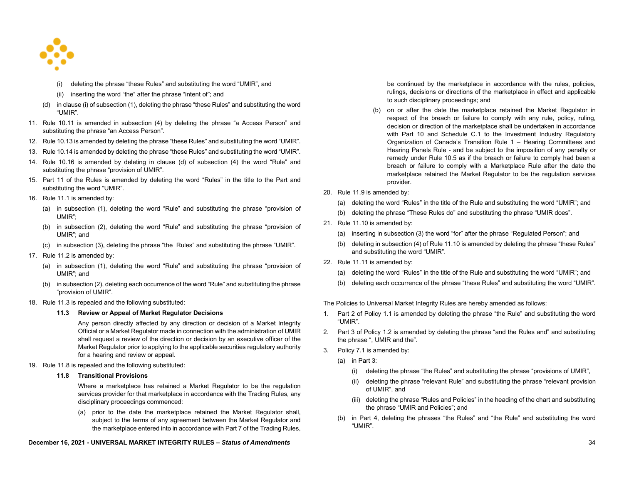

- (i) deleting the phrase "these Rules" and substituting the word "UMIR", and
- (ii) inserting the word "the" after the phrase "intent of"; and
- (d) in clause (i) of subsection (1), deleting the phrase "these Rules" and substituting the word "UMIR".
- 11. Rule 10.11 is amended in subsection (4) by deleting the phrase "a Access Person" and substituting the phrase "an Access Person".
- 12. Rule 10.13 is amended by deleting the phrase "these Rules" and substituting the word "UMIR".
- 13. Rule 10.14 is amended by deleting the phrase "these Rules" and substituting the word "UMIR".
- 14. Rule 10.16 is amended by deleting in clause (d) of subsection (4) the word "Rule" and substituting the phrase "provision of UMIR".
- 15. Part 11 of the Rules is amended by deleting the word "Rules" in the title to the Part and substituting the word "UMIR".
- 16. Rule 11.1 is amended by:
	- (a) in subsection (1), deleting the word "Rule" and substituting the phrase "provision of UMIR";
	- (b) in subsection (2), deleting the word "Rule" and substituting the phrase "provision of UMIR"; and
	- (c) in subsection (3), deleting the phrase "the Rules" and substituting the phrase "UMIR".
- 17. Rule 11.2 is amended by:
	- (a) in subsection (1), deleting the word "Rule" and substituting the phrase "provision of UMIR"; and
	- (b) in subsection (2), deleting each occurrence of the word "Rule" and substituting the phrase "provision of UMIR".
- 18. Rule 11.3 is repealed and the following substituted:

### **11.3 Review or Appeal of Market Regulator Decisions**

Any person directly affected by any direction or decision of a Market Integrity Official or a Market Regulator made in connection with the administration of UMIR shall request a review of the direction or decision by an executive officer of the Market Regulator prior to applying to the applicable securities regulatory authority for a hearing and review or appeal.

## 19. Rule 11.8 is repealed and the following substituted:

## **11.8 Transitional Provisions**

Where a marketplace has retained a Market Regulator to be the regulation services provider for that marketplace in accordance with the Trading Rules, any disciplinary proceedings commenced:

(a) prior to the date the marketplace retained the Market Regulator shall, subject to the terms of any agreement between the Market Regulator and the marketplace entered into in accordance with Part 7 of the Trading Rules,

# **December 16, 2021 - UNIVERSAL MARKET INTEGRITY RULES –** *Status of Amendments* 34

be continued by the marketplace in accordance with the rules, policies, rulings, decisions or directions of the marketplace in effect and applicable to such disciplinary proceedings; and

- (b) on or after the date the marketplace retained the Market Regulator in respect of the breach or failure to comply with any rule, policy, ruling, decision or direction of the marketplace shall be undertaken in accordance with Part 10 and Schedule C.1 to the Investment Industry Regulatory Organization of Canada's Transition Rule 1 – Hearing Committees and Hearing Panels Rule - and be subject to the imposition of any penalty or remedy under Rule 10.5 as if the breach or failure to comply had been a breach or failure to comply with a Marketplace Rule after the date the marketplace retained the Market Regulator to be the regulation services provider.
- 20. Rule 11.9 is amended by:
	- (a) deleting the word "Rules" in the title of the Rule and substituting the word "UMIR"; and
	- (b) deleting the phrase "These Rules do" and substituting the phrase "UMIR does".
- 21. Rule 11.10 is amended by:
	- (a) inserting in subsection (3) the word "for" after the phrase "Regulated Person"; and
	- (b) deleting in subsection (4) of Rule 11.10 is amended by deleting the phrase "these Rules" and substituting the word "UMIR".
- 22. Rule 11.11 is amended by:
	- (a) deleting the word "Rules" in the title of the Rule and substituting the word "UMIR"; and
	- (b) deleting each occurrence of the phrase "these Rules" and substituting the word "UMIR".

The Policies to Universal Market Integrity Rules are hereby amended as follows:

- 1. Part 2 of Policy 1.1 is amended by deleting the phrase "the Rule" and substituting the word "UMIR".
- 2. Part 3 of Policy 1.2 is amended by deleting the phrase "and the Rules and" and substituting the phrase ", UMIR and the".
- 3. Policy 7.1 is amended by:
	- (a) in Part 3:
		- (i) deleting the phrase "the Rules" and substituting the phrase "provisions of UMIR",
		- (ii) deleting the phrase "relevant Rule" and substituting the phrase "relevant provision of UMIR", and
		- (iii) deleting the phrase "Rules and Policies" in the heading of the chart and substituting the phrase "UMIR and Policies"; and
	- (b) in Part 4, deleting the phrases "the Rules" and "the Rule" and substituting the word "UMIR".